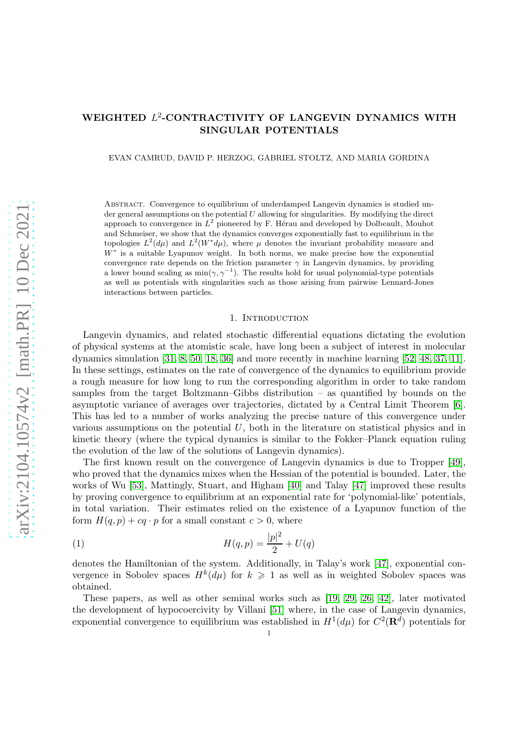# WEIGHTED L<sup>2</sup>-CONTRACTIVITY OF LANGEVIN DYNAMICS WITH SINGULAR POTENTIALS

EVAN CAMRUD, DAVID P. HERZOG, GABRIEL STOLTZ, AND MARIA GORDINA

Abstract. Convergence to equilibrium of underdamped Langevin dynamics is studied under general assumptions on the potential  $U$  allowing for singularities. By modifying the direct approach to convergence in  $L^2$  pioneered by F. Hérau and developed by Dolbeault, Mouhot and Schmeiser, we show that the dynamics converges exponentially fast to equilibrium in the topologies  $L^2(d\mu)$  and  $L^2(W^*d\mu)$ , where  $\mu$  denotes the invariant probability measure and W<sup>∗</sup> is a suitable Lyapunov weight. In both norms, we make precise how the exponential convergence rate depends on the friction parameter  $\gamma$  in Langevin dynamics, by providing a lower bound scaling as  $\min(\gamma, \gamma^{-1})$ . The results hold for usual polynomial-type potentials as well as potentials with singularities such as those arising from pairwise Lennard-Jones interactions between particles.

### 1. INTRODUCTION

Langevin dynamics, and related stochastic differential equations dictating the evolution of physical systems at the atomistic scale, have long been a subject of interest in molecular dynamics simulation [\[31,](#page-32-0) [8,](#page-31-0) [50,](#page-33-0) [18,](#page-32-1) [36\]](#page-32-2) and more recently in machine learning [\[52,](#page-33-1) [48,](#page-33-2) [37,](#page-32-3) [11\]](#page-31-1). In these settings, estimates on the rate of convergence of the dynamics to equilibrium provide a rough measure for how long to run the corresponding algorithm in order to take random samples from the target Boltzmann–Gibbs distribution – as quantified by bounds on the asymptotic variance of averages over trajectories, dictated by a Central Limit Theorem [\[6\]](#page-31-2). This has led to a number of works analyzing the precise nature of this convergence under various assumptions on the potential  $U$ , both in the literature on statistical physics and in kinetic theory (where the typical dynamics is similar to the Fokker–Planck equation ruling the evolution of the law of the solutions of Langevin dynamics).

The first known result on the convergence of Langevin dynamics is due to Tropper [\[49\]](#page-33-3), who proved that the dynamics mixes when the Hessian of the potential is bounded. Later, the works of Wu [\[53\]](#page-33-4), Mattingly, Stuart, and Higham [\[40\]](#page-32-4) and Talay [\[47\]](#page-33-5) improved these results by proving convergence to equilibrium at an exponential rate for 'polynomial-like' potentials, in total variation. Their estimates relied on the existence of a Lyapunov function of the form  $H(q, p) + cq \cdot p$  for a small constant  $c > 0$ , where

<span id="page-0-0"></span>(1) 
$$
H(q, p) = \frac{|p|^2}{2} + U(q)
$$

denotes the Hamiltonian of the system. Additionally, in Talay's work [\[47\]](#page-33-5), exponential convergence in Sobolev spaces  $H^k(d\mu)$  for  $k \geq 1$  as well as in weighted Sobolev spaces was obtained.

These papers, as well as other seminal works such as [\[19,](#page-32-5) [29,](#page-32-6) [26,](#page-32-7) [42\]](#page-33-6), later motivated the development of hypocoercivity by Villani [\[51\]](#page-33-7) where, in the case of Langevin dynamics, exponential convergence to equilibrium was established in  $H^1(d\mu)$  for  $C^2(\mathbf{R}^d)$  potentials for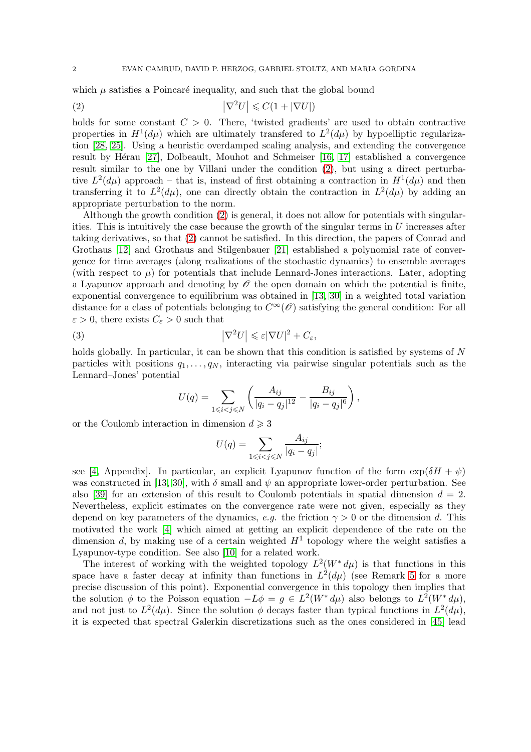which  $\mu$  satisfies a Poincaré inequality, and such that the global bound

<span id="page-1-0"></span>
$$
|\nabla^2 U| \leqslant C(1 + |\nabla U|)
$$

holds for some constant  $C > 0$ . There, 'twisted gradients' are used to obtain contractive properties in  $H^1(d\mu)$  which are ultimately transfered to  $L^2(d\mu)$  by hypoelliptic regularization [\[28,](#page-32-8) [25\]](#page-32-9). Using a heuristic overdamped scaling analysis, and extending the convergence result by Hérau  $[27]$ , Dolbeault, Mouhot and Schmeiser  $[16, 17]$  $[16, 17]$  established a convergence result similar to the one by Villani under the condition [\(2\)](#page-1-0), but using a direct perturbative  $L^2(d\mu)$  approach – that is, instead of first obtaining a contraction in  $H^1(d\mu)$  and then transferring it to  $L^2(d\mu)$ , one can directly obtain the contraction in  $L^2(d\mu)$  by adding an appropriate perturbation to the norm.

Although the growth condition [\(2\)](#page-1-0) is general, it does not allow for potentials with singularities. This is intuitively the case because the growth of the singular terms in  $U$  increases after taking derivatives, so that [\(2\)](#page-1-0) cannot be satisfied. In this direction, the papers of Conrad and Grothaus [\[12\]](#page-31-3) and Grothaus and Stilgenbauer [\[21\]](#page-32-13) established a polynomial rate of convergence for time averages (along realizations of the stochastic dynamics) to ensemble averages (with respect to  $\mu$ ) for potentials that include Lennard-Jones interactions. Later, adopting a Lyapunov approach and denoting by  $\mathscr O$  the open domain on which the potential is finite, exponential convergence to equilibrium was obtained in [\[13,](#page-31-4) [30\]](#page-32-14) in a weighted total variation distance for a class of potentials belonging to  $C^{\infty}(\mathscr{O})$  satisfying the general condition: For all  $\varepsilon > 0$ , there exists  $C_{\varepsilon} > 0$  such that

(3) 
$$
\left|\nabla^2 U\right| \leqslant \varepsilon |\nabla U|^2 + C_{\varepsilon},
$$

holds globally. In particular, it can be shown that this condition is satisfied by systems of N particles with positions  $q_1, \ldots, q_N$ , interacting via pairwise singular potentials such as the Lennard–Jones' potential

$$
U(q) = \sum_{1 \le i < j \le N} \left( \frac{A_{ij}}{|q_i - q_j|^{12}} - \frac{B_{ij}}{|q_i - q_j|^6} \right),
$$

or the Coulomb interaction in dimension  $d \geq 3$ 

$$
U(q) = \sum_{1 \leq i < j \leq N} \frac{A_{ij}}{|q_i - q_j|};
$$

see [\[4,](#page-31-5) Appendix]. In particular, an explicit Lyapunov function of the form  $\exp(\delta H + \psi)$ was constructed in [\[13,](#page-31-4) [30\]](#page-32-14), with  $\delta$  small and  $\psi$  an appropriate lower-order perturbation. See also [\[39\]](#page-32-15) for an extension of this result to Coulomb potentials in spatial dimension  $d = 2$ . Nevertheless, explicit estimates on the convergence rate were not given, especially as they depend on key parameters of the dynamics, e.g. the friction  $\gamma > 0$  or the dimension d. This motivated the work [\[4\]](#page-31-5) which aimed at getting an explicit dependence of the rate on the dimension d, by making use of a certain weighted  $H<sup>1</sup>$  topology where the weight satisfies a Lyapunov-type condition. See also [\[10\]](#page-31-6) for a related work.

The interest of working with the weighted topology  $L^2(W^* d\mu)$  is that functions in this space have a faster decay at infinity than functions in  $L^2(d\mu)$  (see Remark [5](#page-6-0) for a more precise discussion of this point). Exponential convergence in this topology then implies that the solution  $\phi$  to the Poisson equation  $-L\phi = g \in L^2(W^* d\mu)$  also belongs to  $L^2(W^* d\mu)$ , and not just to  $L^2(d\mu)$ . Since the solution  $\phi$  decays faster than typical functions in  $L^2(d\mu)$ , it is expected that spectral Galerkin discretizations such as the ones considered in [\[45\]](#page-33-8) lead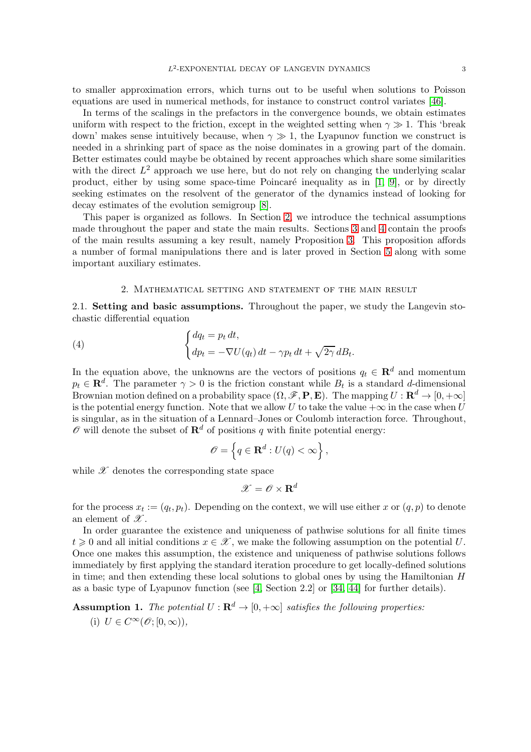to smaller approximation errors, which turns out to be useful when solutions to Poisson equations are used in numerical methods, for instance to construct control variates [\[46\]](#page-33-9).

In terms of the scalings in the prefactors in the convergence bounds, we obtain estimates uniform with respect to the friction, except in the weighted setting when  $\gamma \gg 1$ . This 'break down' makes sense intuitively because, when  $\gamma \gg 1$ , the Lyapunov function we construct is needed in a shrinking part of space as the noise dominates in a growing part of the domain. Better estimates could maybe be obtained by recent approaches which share some similarities with the direct  $L^2$  approach we use here, but do not rely on changing the underlying scalar product, either by using some space-time Poincaré inequality as in  $[1, 9]$  $[1, 9]$ , or by directly seeking estimates on the resolvent of the generator of the dynamics instead of looking for decay estimates of the evolution semigroup [\[8\]](#page-31-0).

This paper is organized as follows. In Section [2,](#page-2-0) we introduce the technical assumptions made throughout the paper and state the main results. Sections [3](#page-10-0) and [4](#page-16-0) contain the proofs of the main results assuming a key result, namely Proposition [3.](#page-13-0) This proposition affords a number of formal manipulations there and is later proved in Section [5](#page-20-0) along with some important auxiliary estimates.

## <span id="page-2-2"></span>2. Mathematical setting and statement of the main result

<span id="page-2-0"></span>2.1. Setting and basic assumptions. Throughout the paper, we study the Langevin stochastic differential equation

(4) 
$$
\begin{cases} dq_t = p_t dt, \\ dp_t = -\nabla U(q_t) dt - \gamma p_t dt + \sqrt{2\gamma} dB_t. \end{cases}
$$

In the equation above, the unknowns are the vectors of positions  $q_t \in \mathbb{R}^d$  and momentum  $p_t \in \mathbf{R}^d$ . The parameter  $\gamma > 0$  is the friction constant while  $B_t$  is a standard d-dimensional Brownian motion defined on a probability space  $(\Omega, \mathscr{F}, \mathbf{P}, \mathbf{E})$ . The mapping  $U : \mathbf{R}^d \to [0, +\infty]$ is the potential energy function. Note that we allow U to take the value  $+\infty$  in the case when U is singular, as in the situation of a Lennard–Jones or Coulomb interaction force. Throughout,  $\mathscr O$  will denote the subset of  $\mathbf R^d$  of positions q with finite potential energy:

$$
\mathscr{O} = \left\{ q \in \mathbf{R}^d : U(q) < \infty \right\},\
$$

while  $\mathscr X$  denotes the corresponding state space

$$
\mathscr{X} = \mathscr{O} \times \mathbf{R}^d
$$

for the process  $x_t := (q_t, p_t)$ . Depending on the context, we will use either x or  $(q, p)$  to denote an element of  $\mathscr{X}.$ 

In order guarantee the existence and uniqueness of pathwise solutions for all finite times  $t \geq 0$  and all initial conditions  $x \in \mathcal{X}$ , we make the following assumption on the potential U. Once one makes this assumption, the existence and uniqueness of pathwise solutions follows immediately by first applying the standard iteration procedure to get locally-defined solutions in time; and then extending these local solutions to global ones by using the Hamiltonian  $H$ as a basic type of Lyapunov function (see  $[4, \text{Section } 2.2]$  or  $[34, 44]$  $[34, 44]$  for further details).

<span id="page-2-1"></span>**Assumption 1.** The potential  $U : \mathbf{R}^d \to [0, +\infty]$  satisfies the following properties:

(i) 
$$
U \in C^{\infty}(\mathscr{O}; [0, \infty)),
$$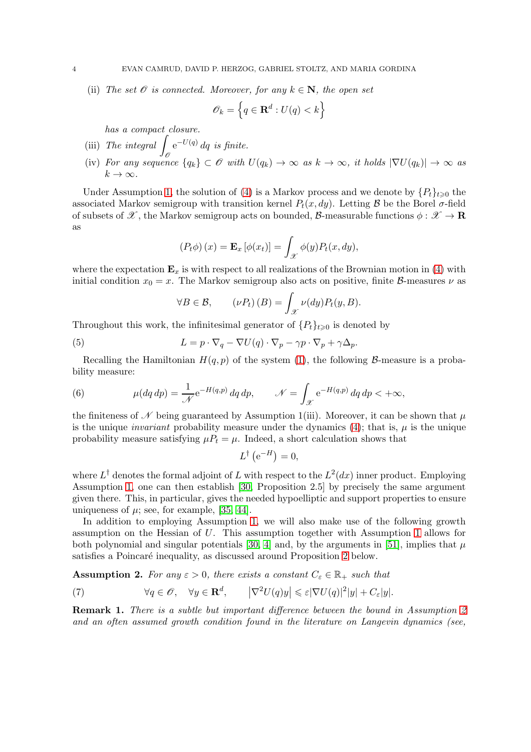(ii) The set  $\mathcal O$  is connected. Moreover, for any  $k \in \mathbb N$ , the open set

$$
\mathscr{O}_k = \left\{ q \in \mathbf{R}^d : U(q) < k \right\}
$$

has a compact closure.

- (iii) The integral  $\int_{\mathscr{O}} e^{-U(q)} dq$  is finite.
- (iv) For any sequence  $\{q_k\} \subset \mathscr{O}$  with  $U(q_k) \to \infty$  as  $k \to \infty$ , it holds  $|\nabla U(q_k)| \to \infty$  as  $k \to \infty$ .

Under Assumption [1,](#page-2-1) the solution of [\(4\)](#page-2-2) is a Markov process and we denote by  $\{P_t\}_{t\geq0}$  the associated Markov semigroup with transition kernel  $P_t(x, dy)$ . Letting B be the Borel  $\sigma$ -field of subsets of  $\mathscr{X}$ , the Markov semigroup acts on bounded, B-measurable functions  $\phi : \mathscr{X} \to \mathbf{R}$ as

$$
(P_t \phi)(x) = \mathbf{E}_x [\phi(x_t)] = \int_{\mathcal{X}} \phi(y) P_t(x, dy),
$$

where the expectation  $\mathbf{E}_x$  is with respect to all realizations of the Brownian motion in [\(4\)](#page-2-2) with initial condition  $x_0 = x$ . The Markov semigroup also acts on positive, finite B-measures  $\nu$  as

$$
\forall B \in \mathcal{B}, \qquad (\nu P_t)(B) = \int_{\mathcal{X}} \nu(dy) P_t(y, B).
$$

Throughout this work, the infinitesimal generator of  ${P_t}_{t\geq 0}$  is denoted by

(5) 
$$
L = p \cdot \nabla_q - \nabla U(q) \cdot \nabla_p - \gamma p \cdot \nabla_p + \gamma \Delta_p.
$$

Recalling the Hamiltonian  $H(q, p)$  of the system [\(1\)](#page-0-0), the following B-measure is a probability measure:

(6) 
$$
\mu(dq \, dp) = \frac{1}{\mathcal{N}} e^{-H(q,p)} \, dq \, dp, \qquad \mathcal{N} = \int_{\mathcal{X}} e^{-H(q,p)} \, dq \, dp < +\infty,
$$

the finiteness of  $\mathscr N$  being guaranteed by Assumption 1(iii). Moreover, it can be shown that  $\mu$ is the unique *invariant* probability measure under the dynamics [\(4\)](#page-2-2); that is,  $\mu$  is the unique probability measure satisfying  $\mu P_t = \mu$ . Indeed, a short calculation shows that

$$
L^{\dagger}(\mathrm{e}^{-H})=0,
$$

where  $L^{\dagger}$  denotes the formal adjoint of L with respect to the  $L^2(dx)$  inner product. Employing Assumption [1,](#page-2-1) one can then establish [\[30,](#page-32-14) Proposition 2.5] by precisely the same argument given there. This, in particular, gives the needed hypoelliptic and support properties to ensure uniqueness of  $\mu$ ; see, for example, [\[35,](#page-32-17) [44\]](#page-33-10).

In addition to employing Assumption [1,](#page-2-1) we will also make use of the following growth assumption on the Hessian of U. This assumption together with Assumption [1](#page-2-1) allows for both polynomial and singular potentials [\[30,](#page-32-14) [4\]](#page-31-5) and, by the arguments in [\[51\]](#page-33-7), implies that  $\mu$ satisfies a Poincaré inequality, as discussed around Proposition [2](#page-6-1) below.

<span id="page-3-0"></span>**Assumption 2.** For any  $\varepsilon > 0$ , there exists a constant  $C_{\varepsilon} \in \mathbb{R}_+$  such that

<span id="page-3-1"></span>(7) 
$$
\forall q \in \mathscr{O}, \quad \forall y \in \mathbf{R}^d, \qquad \left| \nabla^2 U(q)y \right| \leqslant \varepsilon |\nabla U(q)|^2 |y| + C_{\varepsilon} |y|.
$$

**Remark 1.** There is a subtle but important difference between the bound in Assumption [2](#page-3-0) and an often assumed growth condition found in the literature on Langevin dynamics (see,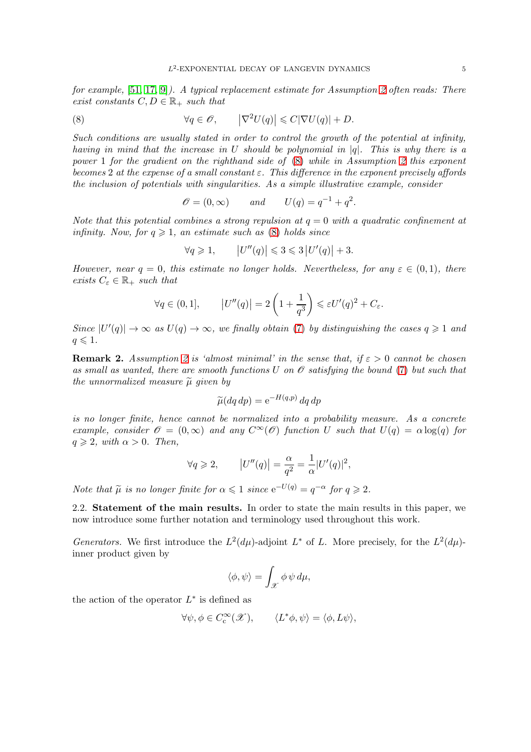for example, [\[51,](#page-33-7) [17,](#page-32-12) [9\]](#page-31-8)). A typical replacement estimate for Assumption [2](#page-3-0) often reads: There exist constants  $C, D \in \mathbb{R}_+$  such that

<span id="page-4-0"></span>(8) 
$$
\forall q \in \mathscr{O}, \qquad \left| \nabla^2 U(q) \right| \leqslant C |\nabla U(q)| + D.
$$

Such conditions are usually stated in order to control the growth of the potential at infinity, having in mind that the increase in U should be polynomial in  $|q|$ . This is why there is a power 1 for the gradient on the righthand side of [\(8\)](#page-4-0) while in Assumption [2](#page-3-0) this exponent becomes 2 at the expense of a small constant  $\varepsilon$ . This difference in the exponent precisely affords the inclusion of potentials with singularities. As a simple illustrative example, consider

 $\mathscr{O} = (0, \infty)$  and  $U(q) = q^{-1} + q^2$ .

Note that this potential combines a strong repulsion at  $q = 0$  with a quadratic confinement at infinity. Now, for  $q \geq 1$ , an estimate such as [\(8\)](#page-4-0) holds since

$$
\forall q \geqslant 1, \qquad \left| U''(q) \right| \leqslant 3 \leqslant 3 \left| U'(q) \right| + 3.
$$

However, near  $q = 0$ , this estimate no longer holds. Nevertheless, for any  $\varepsilon \in (0,1)$ , there exists  $C_{\varepsilon} \in \mathbb{R}_+$  such that

$$
\forall q \in (0,1], \qquad \left| U''(q) \right| = 2\left(1 + \frac{1}{q^3}\right) \leqslant \varepsilon U'(q)^2 + C_{\varepsilon}.
$$

Since  $|U'(q)| \to \infty$  as  $U(q) \to \infty$ , we finally obtain [\(7\)](#page-3-1) by distinguishing the cases  $q \geq 1$  and  $q \leqslant 1$ .

**Remark [2](#page-3-0).** Assumption 2 is 'almost minimal' in the sense that, if  $\varepsilon > 0$  cannot be chosen as small as wanted, there are smooth functions U on  $\mathscr O$  satisfying the bound [\(7\)](#page-3-1) but such that the unnormalized measure  $\tilde{\mu}$  given by

$$
\widetilde{\mu}(dq\,dp) = e^{-H(q,p)}\,dq\,dp
$$

is no longer finite, hence cannot be normalized into a probability measure. As a concrete example, consider  $\mathscr{O} = (0,\infty)$  and any  $C^{\infty}(\mathscr{O})$  function U such that  $U(q) = \alpha \log(q)$  for  $q \geqslant 2$ , with  $\alpha > 0$ . Then,

$$
\forall q \geqslant 2,
$$
  $|U''(q)| = \frac{\alpha}{q^2} = \frac{1}{\alpha}|U'(q)|^2,$ 

Note that  $\tilde{\mu}$  is no longer finite for  $\alpha \leq 1$  since  $e^{-U(q)} = q^{-\alpha}$  for  $q \geq 2$ .

2.2. Statement of the main results. In order to state the main results in this paper, we now introduce some further notation and terminology used throughout this work.

*Generators.* We first introduce the  $L^2(d\mu)$ -adjoint  $L^*$  of L. More precisely, for the  $L^2(d\mu)$ inner product given by

$$
\langle \phi, \psi \rangle = \int_{\mathscr{X}} \phi \, \psi \, d\mu,
$$

the action of the operator  $L^*$  is defined as

$$
\forall \psi, \phi \in C_c^{\infty}(\mathcal{X}), \qquad \langle L^* \phi, \psi \rangle = \langle \phi, L\psi \rangle,
$$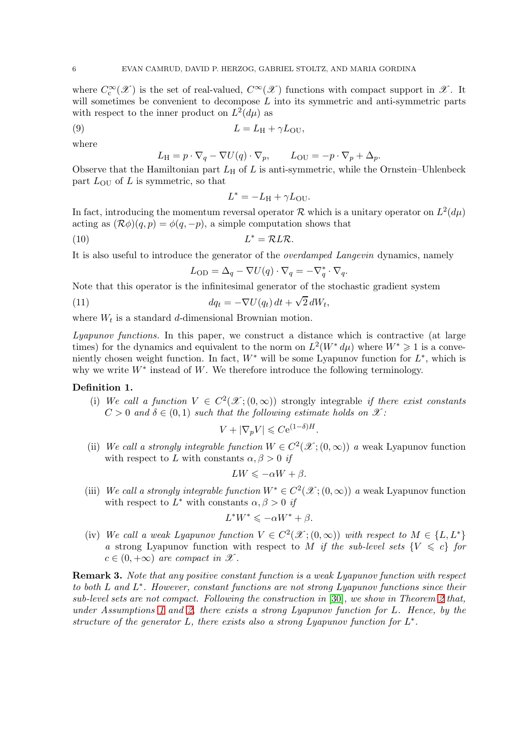where  $C_{\rm c}^{\infty}(\mathscr{X})$  is the set of real-valued,  $C^{\infty}(\mathscr{X})$  functions with compact support in  $\mathscr{X}$ . It will sometimes be convenient to decompose  $L$  into its symmetric and anti-symmetric parts with respect to the inner product on  $L^2(d\mu)$  as

$$
(9) \t\t\t L = L_{\rm H} + \gamma L_{\rm OU},
$$

where

$$
L_{\rm H} = p \cdot \nabla_q - \nabla U(q) \cdot \nabla_p, \qquad L_{\rm OU} = -p \cdot \nabla_p + \Delta_p.
$$

Observe that the Hamiltonian part  $L_H$  of  $L$  is anti-symmetric, while the Ornstein–Uhlenbeck part  $L_{\text{OU}}$  of L is symmetric, so that

<span id="page-5-2"></span><span id="page-5-0"></span>
$$
L^* = -L_{\rm H} + \gamma L_{\rm OU}.
$$

In fact, introducing the momentum reversal operator R which is a unitary operator on  $L^2(d\mu)$ acting as  $(\mathcal{R}\phi)(q,p) = \phi(q,-p)$ , a simple computation shows that

$$
(10) \t\t\t\t\t\tL^* = \mathcal{R}L\mathcal{R}.
$$

It is also useful to introduce the generator of the overdamped Langevin dynamics, namely

$$
L_{\text{OD}} = \Delta_q - \nabla U(q) \cdot \nabla_q = -\nabla_q^* \cdot \nabla_q.
$$

Note that this operator is the infinitesimal generator of the stochastic gradient system

<span id="page-5-4"></span>(11) 
$$
dq_t = -\nabla U(q_t) dt + \sqrt{2} dW_t,
$$

where  $W_t$  is a standard d-dimensional Brownian motion.

Lyapunov functions. In this paper, we construct a distance which is contractive (at large times) for the dynamics and equivalent to the norm on  $L^2(W^* d\mu)$  where  $W^* \geq 1$  is a conveniently chosen weight function. In fact,  $W^*$  will be some Lyapunov function for  $L^*$ , which is why we write  $W^*$  instead of W. We therefore introduce the following terminology.

#### <span id="page-5-3"></span>Definition 1.

(i) We call a function  $V \in C^2(\mathcal{X}; (0, \infty))$  strongly integrable if there exist constants  $C > 0$  and  $\delta \in (0, 1)$  such that the following estimate holds on  $\mathscr{X}$ :

$$
V + |\nabla_p V| \leqslant C e^{(1-\delta)H}.
$$

(ii) We call a strongly integrable function  $W \in C^2(\mathcal{X}; (0, \infty))$  a weak Lyapunov function with respect to L with constants  $\alpha, \beta > 0$  if

$$
LW \leqslant -\alpha W + \beta.
$$

(iii) We call a strongly integrable function  $W^* \in C^2(\mathcal{X};(0,\infty))$  a weak Lyapunov function with respect to  $L^*$  with constants  $\alpha, \beta > 0$  if

$$
L^*W^*\leqslant -\alpha W^*+\beta.
$$

(iv) We call a weak Lyapunov function  $V \in C^2(\mathcal{X}; (0, \infty))$  with respect to  $M \in \{L, L^*\}$ a strong Lyapunov function with respect to M if the sub-level sets  $\{V \leq c\}$  for  $c \in (0, +\infty)$  are compact in X.

<span id="page-5-1"></span>Remark 3. Note that any positive constant function is a weak Lyapunov function with respect to both  $L$  and  $L^*$ . However, constant functions are not strong Lyapunov functions since their sub-level sets are not compact. Following the construction in [\[30\]](#page-32-14), we show in Theorem [2](#page-7-0) that, under Assumptions [1](#page-2-1) and [2,](#page-3-0) there exists a strong Lyapunov function for L. Hence, by the structure of the generator  $L$ , there exists also a strong Lyapunov function for  $L^*$ .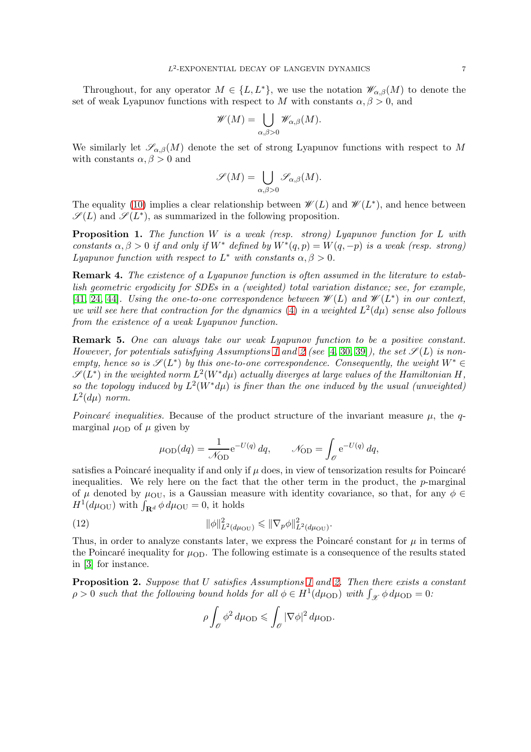Throughout, for any operator  $M \in \{L, L^*\}$ , we use the notation  $\mathscr{W}_{\alpha,\beta}(M)$  to denote the set of weak Lyapunov functions with respect to M with constants  $\alpha, \beta > 0$ , and

$$
\mathscr{W}(M) = \bigcup_{\alpha,\beta>0} \mathscr{W}_{\alpha,\beta}(M).
$$

We similarly let  $\mathscr{S}_{\alpha,\beta}(M)$  denote the set of strong Lyapunov functions with respect to M with constants  $\alpha, \beta > 0$  and

$$
\mathscr{S}(M)=\bigcup_{\alpha,\beta>0}\mathscr{S}_{\alpha,\beta}(M).
$$

The equality [\(10\)](#page-5-0) implies a clear relationship between  $\mathscr{W}(L)$  and  $\mathscr{W}(L^*)$ , and hence between  $\mathscr{S}(L)$  and  $\mathscr{S}(L^*)$ , as summarized in the following proposition.

<span id="page-6-3"></span>**Proposition 1.** The function W is a weak (resp. strong) Lyapunov function for L with constants  $\alpha, \beta > 0$  if and only if  $W^*$  defined by  $W^*(q, p) = W(q, -p)$  is a weak (resp. strong) Lyapunov function with respect to  $L^*$  with constants  $\alpha, \beta > 0$ .

Remark 4. The existence of a Lyapunov function is often assumed in the literature to establish geometric ergodicity for SDEs in a (weighted) total variation distance; see, for example, [\[41,](#page-33-11) [24,](#page-32-18) [44\]](#page-33-10). Using the one-to-one correspondence between  $\mathscr{W}(L)$  and  $\mathscr{W}(L^*)$  in our context, we will see here that contraction for the dynamics [\(4\)](#page-2-2) in a weighted  $L^2(d\mu)$  sense also follows from the existence of a weak Lyapunov function.

<span id="page-6-0"></span>Remark 5. One can always take our weak Lyapunov function to be a positive constant. However, for potentials satisfying Assumptions [1](#page-2-1) and [2](#page-3-0) (see [\[4,](#page-31-5) [30,](#page-32-14) [39\]](#page-32-15)), the set  $\mathscr{S}(L)$  is nonempty, hence so is  $\mathscr{S}(L^*)$  by this one-to-one correspondence. Consequently, the weight  $W^* \in$  $\mathscr{S}(L^*)$  in the weighted norm  $L^2(W^*\text{d}\mu)$  actually diverges at large values of the Hamiltonian H, so the topology induced by  $L^2(W^*\mathrm{d}\mu)$  is finer than the one induced by the usual (unweighted)  $L^2(d\mu)$  norm.

Poincaré inequalities. Because of the product structure of the invariant measure  $\mu$ , the qmarginal  $\mu_{OD}$  of  $\mu$  given by

$$
\mu_{\text{OD}}(dq) = \frac{1}{\mathcal{N}_{\text{OD}}} e^{-U(q)} dq, \qquad \mathcal{N}_{\text{OD}} = \int_{\mathcal{O}} e^{-U(q)} dq,
$$

satisfies a Poincaré inequality if and only if  $\mu$  does, in view of tensorization results for Poincaré inequalities. We rely here on the fact that the other term in the product, the  $p$ -marginal of  $\mu$  denoted by  $\mu_{\text{OU}}$ , is a Gaussian measure with identity covariance, so that, for any  $\phi \in$  $H^1(d\mu_{\text{OU}})$  with  $\int_{\mathbf{R}^d} \phi \, d\mu_{\text{OU}} = 0$ , it holds

(12) 
$$
\|\phi\|_{L^2(d\mu_{\text{OU}})}^2 \leq \|\nabla_p \phi\|_{L^2(d\mu_{\text{OU}})}^2
$$

Thus, in order to analyze constants later, we express the Poincaré constant for  $\mu$  in terms of the Poincaré inequality for  $\mu_{OD}$ . The following estimate is a consequence of the results stated in [\[3\]](#page-31-9) for instance.

.

<span id="page-6-1"></span>Proposition 2. Suppose that U satisfies Assumptions [1](#page-2-1) and [2.](#page-3-0) Then there exists a constant  $\rho > 0$  such that the following bound holds for all  $\phi \in H^1(d\mu_{\text{OD}})$  with  $\int_{\mathcal{X}} \phi \, d\mu_{\text{OD}} = 0$ :

<span id="page-6-2"></span>
$$
\rho \int_{\mathscr{O}} \phi^2 d\mu_{\text{OD}} \leqslant \int_{\mathscr{O}} |\nabla \phi|^2 d\mu_{\text{OD}}.
$$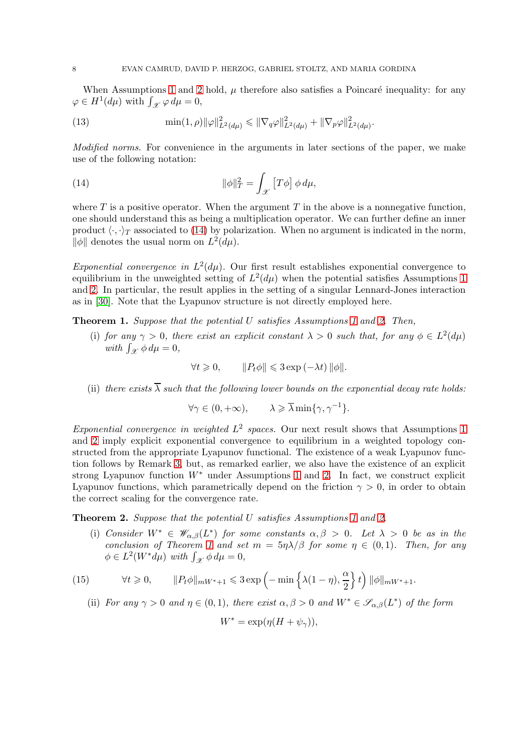When Assumptions [1](#page-2-1) and [2](#page-3-0) hold,  $\mu$  therefore also satisfies a Poincaré inequality: for any  $\varphi \in H^1(d\mu)$  with  $\int_{\mathscr{X}} \varphi \, d\mu = 0$ ,

.

<span id="page-7-4"></span>(13) 
$$
\min(1,\rho)\|\varphi\|_{L^2(d\mu)}^2 \le \|\nabla_q \varphi\|_{L^2(d\mu)}^2 + \|\nabla_p \varphi\|_{L^2(d\mu)}^2
$$

Modified norms. For convenience in the arguments in later sections of the paper, we make use of the following notation:

<span id="page-7-1"></span>(14) 
$$
\|\phi\|_T^2 = \int_{\mathcal{X}} \left[T\phi\right] \phi \, d\mu,
$$

where  $T$  is a positive operator. When the argument  $T$  in the above is a nonnegative function, one should understand this as being a multiplication operator. We can further define an inner product  $\langle \cdot, \cdot \rangle_T$  associated to [\(14\)](#page-7-1) by polarization. When no argument is indicated in the norm,  $\|\phi\|$  denotes the usual norm on  $L^2(d\mu)$ .

Exponential convergence in  $L^2(d\mu)$ . Our first result establishes exponential convergence to equilibrium in the unweighted setting of  $L^2(d\mu)$  when the potential satisfies Assumptions [1](#page-2-1) and [2.](#page-3-0) In particular, the result applies in the setting of a singular Lennard-Jones interaction as in [\[30\]](#page-32-14). Note that the Lyapunov structure is not directly employed here.

<span id="page-7-2"></span>Theorem [1](#page-2-1). Suppose that the potential U satisfies Assumptions 1 and [2.](#page-3-0) Then,

(i) for any  $\gamma > 0$ , there exist an explicit constant  $\lambda > 0$  such that, for any  $\phi \in L^2(d\mu)$ with  $\int_{\mathscr{X}} \phi \, d\mu = 0$ ,

$$
\forall t \geq 0, \qquad \|P_t \phi\| \leq 3 \exp\left(-\lambda t\right) \|\phi\|.
$$

(ii) there exists  $\overline{\lambda}$  such that the following lower bounds on the exponential decay rate holds:

$$
\forall \gamma \in (0, +\infty), \qquad \lambda \geqslant \overline{\lambda} \min\{\gamma, \gamma^{-1}\}.
$$

Exponential convergence in weighted  $L^2$  spaces. Our next result shows that Assumptions [1](#page-2-1) and [2](#page-3-0) imply explicit exponential convergence to equilibrium in a weighted topology constructed from the appropriate Lyapunov functional. The existence of a weak Lyapunov function follows by Remark [3,](#page-5-1) but, as remarked earlier, we also have the existence of an explicit strong Lyapunov function  $W^*$  under Assumptions [1](#page-2-1) and [2.](#page-3-0) In fact, we construct explicit Lyapunov functions, which parametrically depend on the friction  $\gamma > 0$ , in order to obtain the correct scaling for the convergence rate.

<span id="page-7-0"></span>**Theorem [2.](#page-3-0)** Suppose that the potential U satisfies Assumptions [1](#page-2-1) and 2.

(i) Consider  $W^* \in \mathscr{W}_{\alpha,\beta}(L^*)$  for some constants  $\alpha,\beta > 0$ . Let  $\lambda > 0$  be as in the conclusion of Theorem [1](#page-7-2) and set  $m = 5\eta\lambda/\beta$  for some  $\eta \in (0,1)$ . Then, for any  $\phi \in L^2(W^* d\mu)$  with  $\int_{\mathcal{X}} \phi d\mu = 0$ ,

(15) 
$$
\forall t \geq 0, \qquad \|P_t \phi\|_{mW^*+1} \leq 3 \exp\left(-\min\left\{\lambda(1-\eta), \frac{\alpha}{2}\right\} t\right) \|\phi\|_{mW^*+1}.
$$

<span id="page-7-3"></span>(ii) For any  $\gamma > 0$  and  $\eta \in (0,1)$ , there exist  $\alpha, \beta > 0$  and  $W^* \in \mathscr{S}_{\alpha,\beta}(L^*)$  of the form

$$
W^* = \exp(\eta (H + \psi_\gamma)),
$$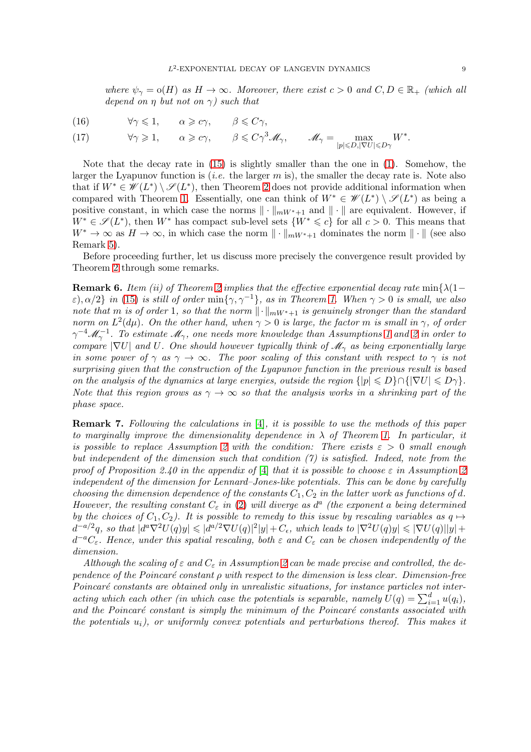where  $\psi_{\gamma} = o(H)$  as  $H \to \infty$ . Moreover, there exist  $c > 0$  and  $C, D \in \mathbb{R}_+$  (which all depend on  $\eta$  but not on  $\gamma$ ) such that

<span id="page-8-0"></span>(16) 
$$
\forall \gamma \leq 1, \quad \alpha \geq c\gamma, \quad \beta \leq C\gamma,
$$

<span id="page-8-1"></span>(17) 
$$
\forall \gamma \geq 1, \qquad \alpha \geq c\gamma, \qquad \beta \leq C\gamma^3 \mathscr{M}_{\gamma}, \qquad \mathscr{M}_{\gamma} = \max_{|p| \leq D, |\nabla U| \leq D\gamma} W^*.
$$

Note that the decay rate in [\(15\)](#page-7-3) is slightly smaller than the one in [\(1\)](#page-7-2). Somehow, the larger the Lyapunov function is *(i.e.* the larger  $m$  is), the smaller the decay rate is. Note also that if  $W^* \in \mathscr{W}(L^*) \setminus \mathscr{S}(L^*)$ , then Theorem [2](#page-7-0) does not provide additional information when compared with Theorem [1.](#page-7-2) Essentially, one can think of  $W^* \in \mathscr{W}(L^*) \setminus \mathscr{S}(L^*)$  as being a positive constant, in which case the norms  $\|\cdot\|_{mW^*+1}$  and  $\|\cdot\|$  are equivalent. However, if  $W^* \in \mathscr{S}(L^*)$ , then  $W^*$  has compact sub-level sets  $\{W^* \leq c\}$  for all  $c > 0$ . This means that  $W^* \to \infty$  as  $H \to \infty$ , in which case the norm  $\|\cdot\|_{mW^*+1}$  dominates the norm  $\|\cdot\|$  (see also Remark [5\)](#page-6-0).

Before proceeding further, let us discuss more precisely the convergence result provided by Theorem [2](#page-7-0) through some remarks.

**Remark 6.** Item (ii) of Theorem [2](#page-7-0) implies that the effective exponential decay rate min $\{\lambda(1-\lambda)\}$  $ε)$ , α/2} in [\(15\)](#page-7-3) is still of order min{ $γ, γ^{-1}$ }, as in Theorem [1.](#page-7-2) When  $γ > 0$  is small, we also note that m is of order 1, so that the norm  $\lVert \cdot \rVert_{mW^*+1}$  is genuinely stronger than the standard norm on  $L^2(d\mu)$ . On the other hand, when  $\gamma > 0$  is large, the factor m is small in  $\gamma$ , of order  $\gamma^{-4}\mathscr{M}_{\gamma}^{-1}$ . To estimate  $\mathscr{M}_{\gamma}$ , one needs more knowledge than Assumptions [1](#page-2-1) and [2](#page-3-0) in order to compare  $|\nabla U|$  and U. One should however typically think of  $\mathcal{M}_{\gamma}$  as being exponentially large in some power of  $\gamma$  as  $\gamma \to \infty$ . The poor scaling of this constant with respect to  $\gamma$  is not surprising given that the construction of the Lyapunov function in the previous result is based on the analysis of the dynamics at large energies, outside the region  $\{|p| \leq D\} \cap {\{|\nabla U| \leq D\gamma\}}$ . Note that this region grows as  $\gamma \to \infty$  so that the analysis works in a shrinking part of the phase space.

Remark 7. Following the calculations in [\[4\]](#page-31-5), it is possible to use the methods of this paper to marginally improve the dimensionality dependence in  $\lambda$  of Theorem [1.](#page-7-2) In particular, it is possible to replace Assumption [2](#page-3-0) with the condition: There exists  $\varepsilon > 0$  small enough but independent of the dimension such that condition  $(7)$  is satisfied. Indeed, note from the proof of Proposition 2.40 in the appendix of [\[4\]](#page-31-5) that it is possible to choose  $\varepsilon$  in Assumption [2](#page-3-0) independent of the dimension for Lennard–Jones-like potentials. This can be done by carefully choosing the dimension dependence of the constants  $C_1, C_2$  in the latter work as functions of d. However, the resulting constant  $C_{\varepsilon}$  in [\(2\)](#page-3-0) will diverge as  $d^{a}$  (the exponent a being determined by the choices of  $C_1, C_2$ ). It is possible to remedy to this issue by rescaling variables as  $q \mapsto$  $d^{-a/2}q$ , so that  $|d^a\nabla^2 U(q)y| \leqslant |d^{a/2}\nabla U(q)|^2|y| + C_{\epsilon}$ , which leads to  $|\nabla^2 U(q)y| \leqslant |\nabla U(q)||y| +$  $d^{-a}C_{\varepsilon}$ . Hence, under this spatial rescaling, both  $\varepsilon$  and  $C_{\varepsilon}$  can be chosen independently of the dimension.

Although the scaling of  $\varepsilon$  and  $C_{\varepsilon}$  in Assumption [2](#page-3-0) can be made precise and controlled, the dependence of the Poincaré constant  $\rho$  with respect to the dimension is less clear. Dimension-free Poincaré constants are obtained only in unrealistic situations, for instance particles not interacting which each other (in which case the potentials is separable, namely  $U(q) = \sum_{i=1}^{d} u(q_i)$ , and the Poincaré constant is simply the minimum of the Poincaré constants associated with the potentials  $u_i$ ), or uniformly convex potentials and perturbations thereof. This makes it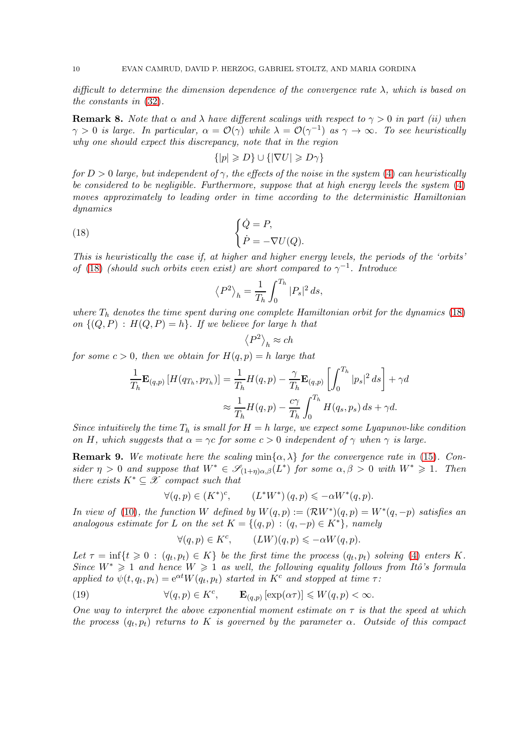difficult to determine the dimension dependence of the convergence rate  $\lambda$ , which is based on the constants in [\(32\)](#page-14-0).

**Remark 8.** Note that  $\alpha$  and  $\lambda$  have different scalings with respect to  $\gamma > 0$  in part (ii) when  $\gamma > 0$  is large. In particular,  $\alpha = \mathcal{O}(\gamma)$  while  $\lambda = \mathcal{O}(\gamma^{-1})$  as  $\gamma \to \infty$ . To see heuristically why one should expect this discrepancy, note that in the region

$$
\{|p| \geqslant D\} \cup \{|\nabla U| \geqslant D\gamma\}
$$

for  $D > 0$  large, but independent of  $\gamma$ , the effects of the noise in the system [\(4\)](#page-2-2) can heuristically be considered to be negligible. Furthermore, suppose that at high energy levels the system  $(4)$ moves approximately to leading order in time according to the deterministic Hamiltonian dynamics

(18) 
$$
\begin{cases} \dot{Q} = P, \\ \dot{P} = -\nabla U(Q). \end{cases}
$$

This is heuristically the case if, at higher and higher energy levels, the periods of the 'orbits' of [\(18\)](#page-9-0) (should such orbits even exist) are short compared to  $\gamma^{-1}$ . Introduce

<span id="page-9-0"></span>
$$
\left\langle P^2 \right\rangle_h = \frac{1}{T_h} \int_0^{T_h} |P_s|^2 \, ds,
$$

where  $T_h$  denotes the time spent during one complete Hamiltonian orbit for the dynamics [\(18\)](#page-9-0) on  $\{(Q, P) : H(Q, P) = h\}$ . If we believe for large h that

$$
\left\langle P^{2}\right\rangle _{h}\approx ch
$$

for some  $c > 0$ , then we obtain for  $H(q, p) = h$  large that

$$
\frac{1}{T_h} \mathbf{E}_{(q,p)} \left[ H(q_{T_h}, p_{T_h}) \right] = \frac{1}{T_h} H(q, p) - \frac{\gamma}{T_h} \mathbf{E}_{(q,p)} \left[ \int_0^{T_h} |p_s|^2 ds \right] + \gamma d
$$

$$
\approx \frac{1}{T_h} H(q, p) - \frac{c\gamma}{T_h} \int_0^{T_h} H(q_s, p_s) ds + \gamma d.
$$

Since intuitively the time  $T_h$  is small for  $H = h$  large, we expect some Lyapunov-like condition on H, which suggests that  $\alpha = \gamma c$  for some  $c > 0$  independent of  $\gamma$  when  $\gamma$  is large.

**Remark 9.** We motivate here the scaling  $\min{\{\alpha, \lambda\}}$  for the convergence rate in [\(15\)](#page-7-3). Consider  $\eta > 0$  and suppose that  $W^* \in \mathscr{S}_{(1+\eta)\alpha,\beta}(L^*)$  for some  $\alpha, \beta > 0$  with  $W^* \geq 1$ . Then there exists  $K^* \subseteq \mathcal{X}$  compact such that

$$
\forall (q, p) \in (K^*)^c, \qquad (L^*W^*) (q, p) \leq -\alpha W^*(q, p).
$$

In view of [\(10\)](#page-5-0), the function W defined by  $W(q,p) := (\mathcal{R}W^*)(q,p) = W^*(q,-p)$  satisfies an analogous estimate for L on the set  $K = \{(q, p) : (q, -p) \in K^*\}$ , namely

$$
\forall (q, p) \in K^c, \qquad (LW)(q, p) \leq -\alpha W(q, p).
$$

Let  $\tau = \inf\{t \geq 0 : (q_t, p_t) \in K\}$  be the first time the process  $(q_t, p_t)$  solving [\(4\)](#page-2-2) enters K. Since  $W^* \geq 1$  and hence  $W \geq 1$  as well, the following equality follows from Itô's formula applied to  $\psi(t, q_t, p_t) = e^{\alpha t} W(q_t, p_t)$  started in K<sup>c</sup> and stopped at time  $\tau$ :

<span id="page-9-1"></span>(19) 
$$
\forall (q, p) \in K^c, \qquad \mathbf{E}_{(q,p)}[\exp(\alpha \tau)] \leqslant W(q, p) < \infty.
$$

One way to interpret the above exponential moment estimate on  $\tau$  is that the speed at which the process  $(q_t, p_t)$  returns to K is governed by the parameter  $\alpha$ . Outside of this compact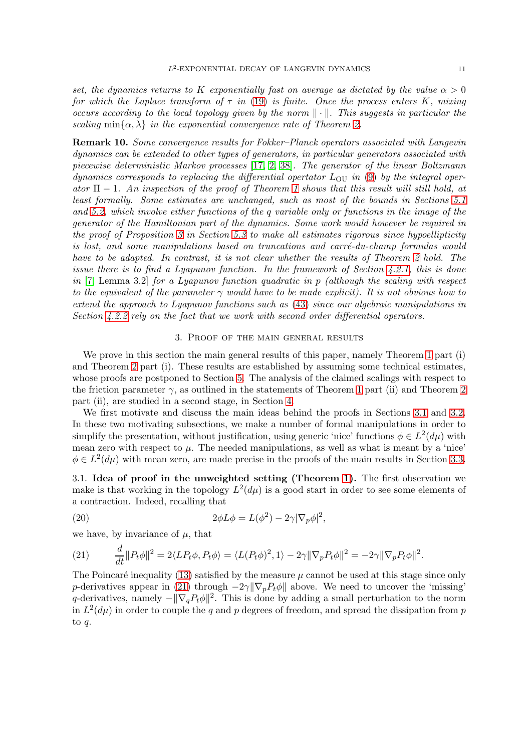set, the dynamics returns to K exponentially fast on average as dictated by the value  $\alpha > 0$ for which the Laplace transform of  $\tau$  in [\(19\)](#page-9-1) is finite. Once the process enters K, mixing occurs according to the local topology given by the norm  $\|\cdot\|$ . This suggests in particular the scaling min $\{\alpha, \lambda\}$  in the exponential convergence rate of Theorem [2.](#page-7-0)

Remark 10. Some convergence results for Fokker–Planck operators associated with Langevin dynamics can be extended to other types of generators, in particular generators associated with piecewise deterministic Markov processes [\[17,](#page-32-12) [2,](#page-31-10) [38\]](#page-32-19). The generator of the linear Boltzmann dynamics corresponds to replacing the differential opertator  $L_{\text{OU}}$  in [\(9\)](#page-5-2) by the integral operator  $\Pi - 1$  $\Pi - 1$ . An inspection of the proof of Theorem 1 shows that this result will still hold, at least formally. Some estimates are unchanged, such as most of the bounds in Sections [5.1](#page-20-1) and [5.2,](#page-24-0) which involve either functions of the q variable only or functions in the image of the generator of the Hamiltonian part of the dynamics. Some work would however be required in the proof of Proposition [3](#page-13-0) in Section [5.3](#page-28-0) to make all estimates rigorous since hypoellipticity is lost, and some manipulations based on truncations and carré-du-champ formulas would have to be adapted. In contrast, it is not clear whether the results of Theorem [2](#page-7-0) hold. The issue there is to find a Lyapunov function. In the framework of Section [4.2.1,](#page-17-0) this is done in [\[7,](#page-31-11) Lemma 3.2] for a Lyapunov function quadratic in  $p$  (although the scaling with respect to the equivalent of the parameter  $\gamma$  would have to be made explicit). It is not obvious how to extend the approach to Lyapunov functions such as [\(43\)](#page-18-0) since our algebraic manipulations in Section [4.2.2](#page-18-1) rely on the fact that we work with second order differential operators.

## 3. Proof of the main general results

<span id="page-10-0"></span>We prove in this section the main general results of this paper, namely Theorem [1](#page-7-2) part (i) and Theorem [2](#page-7-0) part (i). These results are established by assuming some technical estimates, whose proofs are postponed to Section [5.](#page-20-0) The analysis of the claimed scalings with respect to the friction parameter  $\gamma$ , as outlined in the statements of Theorem [1](#page-7-2) part (ii) and Theorem [2](#page-7-0) part (ii), are studied in a second stage, in Section [4.](#page-16-0)

We first motivate and discuss the main ideas behind the proofs in Sections [3.1](#page-10-1) and [3.2.](#page-12-0) In these two motivating subsections, we make a number of formal manipulations in order to simplify the presentation, without justification, using generic 'nice' functions  $\phi \in L^2(d\mu)$  with mean zero with respect to  $\mu$ . The needed manipulations, as well as what is meant by a 'nice'  $\phi \in L^2(d\mu)$  with mean zero, are made precise in the proofs of the main results in Section [3.3.](#page-12-1)

<span id="page-10-1"></span>3.1. Idea of proof in the unweighted setting (Theorem [1\)](#page-7-2). The first observation we make is that working in the topology  $L^2(d\mu)$  is a good start in order to see some elements of a contraction. Indeed, recalling that

<span id="page-10-3"></span>(20) 
$$
2\phi L\phi = L(\phi^2) - 2\gamma |\nabla_p \phi|^2,
$$

we have, by invariance of  $\mu$ , that

<span id="page-10-2"></span>(21) 
$$
\frac{d}{dt}||P_t\phi||^2 = 2\langle LP_t\phi, P_t\phi\rangle = \langle L(P_t\phi)^2, 1\rangle - 2\gamma||\nabla_p P_t\phi||^2 = -2\gamma||\nabla_p P_t\phi||^2.
$$

The Poincaré inequality [\(13\)](#page-7-4) satisfied by the measure  $\mu$  cannot be used at this stage since only p-derivatives appear in [\(21\)](#page-10-2) through  $-2\gamma \|\nabla_p P_t \phi\|$  above. We need to uncover the 'missing' q-derivatives, namely  $-\|\nabla_q P_t\phi\|^2$ . This is done by adding a small perturbation to the norm in  $L^2(d\mu)$  in order to couple the q and p degrees of freedom, and spread the dissipation from p to q.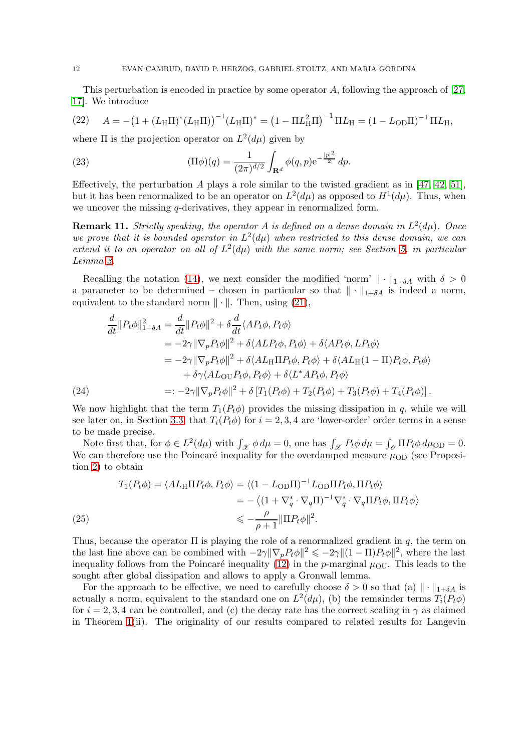This perturbation is encoded in practice by some operator A, following the approach of [\[27,](#page-32-10) [17\]](#page-32-12). We introduce

<span id="page-11-0"></span>(22) 
$$
A = -\left(1 + (L_{\rm H}\Pi)^*(L_{\rm H}\Pi)\right)^{-1}(L_{\rm H}\Pi)^* = \left(1 - \Pi L_{\rm H}^2\Pi\right)^{-1}\Pi L_{\rm H} = \left(1 - L_{\rm OD}\Pi\right)^{-1}\Pi L_{\rm H},
$$

where  $\Pi$  is the projection operator on  $L^2(d\mu)$  given by

(23) 
$$
(\Pi \phi)(q) = \frac{1}{(2\pi)^{d/2}} \int_{\mathbf{R}^d} \phi(q, p) e^{-\frac{|p|^2}{2}} dp.
$$

Effectively, the perturbation A plays a role similar to the twisted gradient as in [\[47,](#page-33-5) [42,](#page-33-6) [51\]](#page-33-7), but it has been renormalized to be an operator on  $L^2(d\mu)$  as opposed to  $H^1(d\mu)$ . Thus, when we uncover the missing q-derivatives, they appear in renormalized form.

**Remark 11.** Strictly speaking, the operator A is defined on a dense domain in  $L^2(d\mu)$ . Once we prove that it is bounded operator in  $L^2(d\mu)$  when restricted to this dense domain, we can extend it to an operator on all of  $L^2(d\mu)$  with the same norm; see Section [5,](#page-20-0) in particular Lemma [3.](#page-24-1)

Recalling the notation [\(14\)](#page-7-1), we next consider the modified 'norm'  $\|\cdot\|_{1+\delta A}$  with  $\delta > 0$ a parameter to be determined – chosen in particular so that  $\|\cdot\|_{1+\delta A}$  is indeed a norm, equivalent to the standard norm  $\|\cdot\|$ . Then, using [\(21\)](#page-10-2),

$$
\frac{d}{dt}||P_t\phi||_{1+\delta A}^2 = \frac{d}{dt}||P_t\phi||^2 + \delta \frac{d}{dt} \langle AP_t\phi, P_t\phi \rangle
$$
  
\n
$$
= -2\gamma ||\nabla_p P_t\phi||^2 + \delta \langle ALP_t\phi, P_t\phi \rangle + \delta \langle AP_t\phi, LP_t\phi \rangle
$$
  
\n
$$
= -2\gamma ||\nabla_p P_t\phi||^2 + \delta \langle AL_H \Pi P_t\phi, P_t\phi \rangle + \delta \langle AL_H (1 - \Pi) P_t\phi, P_t\phi \rangle
$$
  
\n
$$
+ \delta \gamma \langle AL_{\text{OU}} P_t\phi, P_t\phi \rangle + \delta \langle L^* A P_t\phi, P_t\phi \rangle
$$
  
\n
$$
=: -2\gamma ||\nabla_p P_t\phi||^2 + \delta [T_1 (P_t\phi) + T_2 (P_t\phi) + T_3 (P_t\phi) + T_4 (P_t\phi)].
$$

We now highlight that the term  $T_1(P_t\phi)$  provides the missing dissipation in q, while we will see later on, in Section [3.3,](#page-12-1) that  $T_i(P_t\phi)$  for  $i = 2, 3, 4$  are 'lower-order' order terms in a sense to be made precise.

Note first that, for  $\phi \in L^2(d\mu)$  with  $\int_{\mathcal{X}} \phi \, d\mu = 0$ , one has  $\int_{\mathcal{X}} P_t \phi \, d\mu = \int_{\mathcal{O}} \Pi P_t \phi \, d\mu$  on  $= 0$ . We can therefore use the Poincaré inequality for the overdamped measure  $\mu_{\rm OD}$  (see Proposition [2\)](#page-6-1) to obtain

(25)  
\n
$$
T_1(P_t \phi) = \langle AL_H \Pi P_t \phi, P_t \phi \rangle = \langle (1 - L_{\text{OD}} \Pi)^{-1} L_{\text{OD}} \Pi P_t \phi, \Pi P_t \phi \rangle
$$
\n
$$
= -\langle (1 + \nabla_q^* \cdot \nabla_q \Pi)^{-1} \nabla_q^* \cdot \nabla_q \Pi P_t \phi, \Pi P_t \phi \rangle
$$
\n
$$
\leq -\frac{\rho}{\rho + 1} \|\Pi P_t \phi\|^2.
$$

<span id="page-11-1"></span>Thus, because the operator  $\Pi$  is playing the role of a renormalized gradient in q, the term on the last line above can be combined with  $-2\gamma \|\nabla_p P_t \phi\|^2 \leq -2\gamma \|(1-\Pi)P_t \phi\|^2$ , where the last inequality follows from the Poincaré inequality [\(12\)](#page-6-2) in the p-marginal  $\mu_{\text{OU}}$ . This leads to the sought after global dissipation and allows to apply a Gronwall lemma.

For the approach to be effective, we need to carefully choose  $\delta > 0$  so that (a)  $\|\cdot\|_{1+\delta A}$  is actually a norm, equivalent to the standard one on  $L^2(d\mu)$ , (b) the remainder terms  $T_i(P_t\phi)$ for  $i = 2, 3, 4$  can be controlled, and (c) the decay rate has the correct scaling in  $\gamma$  as claimed in Theorem [1\(](#page-7-2)ii). The originality of our results compared to related results for Langevin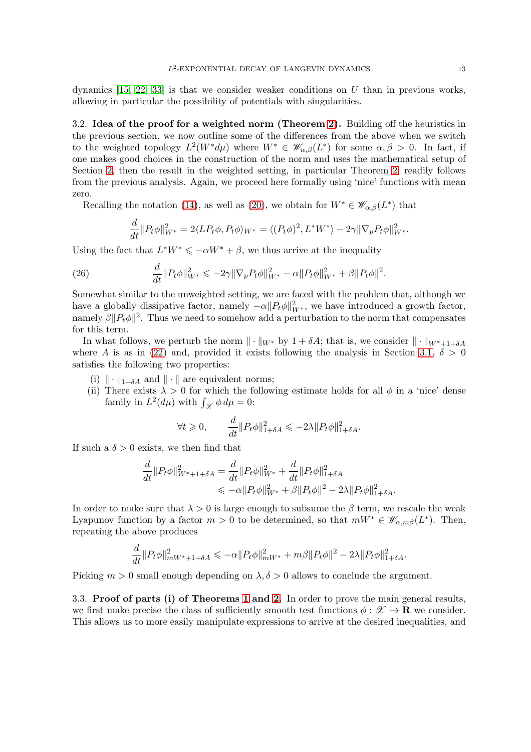dynamics  $[15, 22, 33]$  $[15, 22, 33]$  $[15, 22, 33]$  is that we consider weaker conditions on U than in previous works, allowing in particular the possibility of potentials with singularities.

<span id="page-12-0"></span>3.2. Idea of the proof for a weighted norm (Theorem [2\)](#page-7-0). Building off the heuristics in the previous section, we now outline some of the differences from the above when we switch to the weighted topology  $L^2(W^*\,d\mu)$  where  $W^*\in\mathscr{W}_{\alpha,\beta}(L^*)$  for some  $\alpha,\beta>0$ . In fact, if one makes good choices in the construction of the norm and uses the mathematical setup of Section [2,](#page-2-0) then the result in the weighted setting, in particular Theorem [2,](#page-7-0) readily follows from the previous analysis. Again, we proceed here formally using 'nice' functions with mean zero.

Recalling the notation [\(14\)](#page-7-1), as well as [\(20\)](#page-10-3), we obtain for  $W^* \in \mathscr{W}_{\alpha,\beta}(L^*)$  that

$$
\frac{d}{dt}||P_t\phi||^2_{W^*} = 2\langle LP_t\phi, P_t\phi\rangle_{W^*} = \langle (P_t\phi)^2, L^*W^*\rangle - 2\gamma||\nabla_p P_t\phi||^2_{W^*}.
$$

Using the fact that  $L^*W^* \leq -\alpha W^* + \beta$ , we thus arrive at the inequality

(26) 
$$
\frac{d}{dt}||P_t\phi||^2_{W^*} \leq -2\gamma ||\nabla_p P_t\phi||^2_{W^*} - \alpha ||P_t\phi||^2_{W^*} + \beta ||P_t\phi||^2.
$$

Somewhat similar to the unweighted setting, we are faced with the problem that, although we have a globally dissipative factor, namely  $-\alpha \|P_t \phi\|_{W^*}^2$ , we have introduced a growth factor, namely  $\beta ||P_t\phi||^2$ . Thus we need to somehow add a perturbation to the norm that compensates for this term.

In what follows, we perturb the norm  $\|\cdot\|_{W^*}$  by  $1 + \delta A$ ; that is, we consider  $\|\cdot\|_{W^*+1+\delta A}$ where A is as in [\(22\)](#page-11-0) and, provided it exists following the analysis in Section [3.1,](#page-10-1)  $\delta > 0$ satisfies the following two properties:

- (i)  $\|\cdot\|_{1+\delta A}$  and  $\|\cdot\|$  are equivalent norms;
- (ii) There exists  $\lambda > 0$  for which the following estimate holds for all  $\phi$  in a 'nice' dense family in  $L^2(d\mu)$  with  $\int_{\mathcal{X}} \phi \, d\mu = 0$ :

$$
\forall t \geqslant 0, \qquad \frac{d}{dt} \| P_t \phi \|_{1+\delta A}^2 \leqslant -2\lambda \| P_t \phi \|_{1+\delta A}^2.
$$

If such a  $\delta > 0$  exists, we then find that

$$
\frac{d}{dt} ||P_t \phi||_{W^* + 1 + \delta A}^2 = \frac{d}{dt} ||P_t \phi||_{W^*}^2 + \frac{d}{dt} ||P_t \phi||_{1 + \delta A}^2 \n\leq -\alpha ||P_t \phi||_{W^*}^2 + \beta ||P_t \phi||^2 - 2\lambda ||P_t \phi||_{1 + \delta A}^2.
$$

In order to make sure that  $\lambda > 0$  is large enough to subsume the  $\beta$  term, we rescale the weak Lyapunov function by a factor  $m > 0$  to be determined, so that  $mW^* \in \mathscr{W}_{\alpha,m\beta}(L^*)$ . Then, repeating the above produces

$$
\frac{d}{dt} ||P_t \phi||_{mW^* + 1 + \delta A}^2 \leq -\alpha ||P_t \phi||_{mW^*}^2 + m\beta ||P_t \phi||^2 - 2\lambda ||P_t \phi||_{1 + \delta A}^2.
$$

Picking  $m > 0$  small enough depending on  $\lambda, \delta > 0$  allows to conclude the argument.

<span id="page-12-1"></span>3.3. Proof of parts (i) of Theorems [1](#page-7-2) and [2.](#page-7-0) In order to prove the main general results, we first make precise the class of sufficiently smooth test functions  $\phi : \mathcal{X} \to \mathbf{R}$  we consider. This allows us to more easily manipulate expressions to arrive at the desired inequalities, and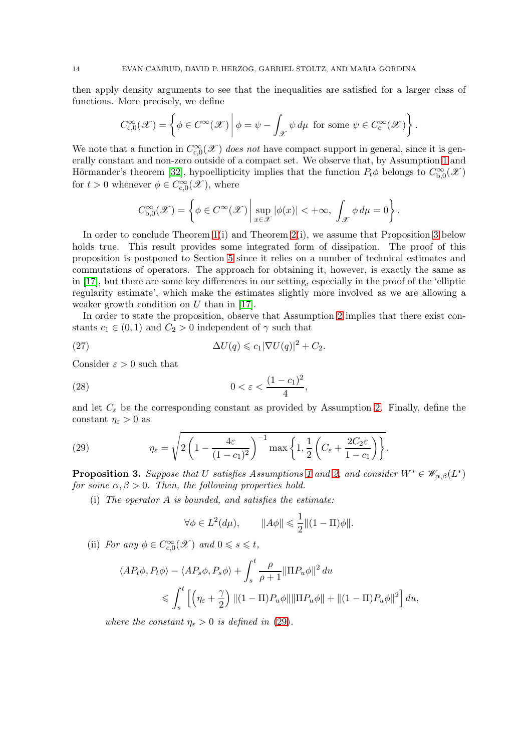then apply density arguments to see that the inequalities are satisfied for a larger class of functions. More precisely, we define

$$
C_{c,0}^{\infty}(\mathscr{X}) = \left\{ \phi \in C^{\infty}(\mathscr{X}) \, \middle| \, \phi = \psi - \int_{\mathscr{X}} \psi \, d\mu \text{ for some } \psi \in C_{c}^{\infty}(\mathscr{X}) \right\}.
$$

We note that a function in  $C_{c,0}^{\infty}(\mathscr{X})$  does not have compact support in general, since it is generally constant and non-zero outside of a compact set. We observe that, by Assumption [1](#page-2-1) and Hörmander's theorem [\[32\]](#page-32-23), hypoellipticity implies that the function  $P_t\phi$  belongs to  $C_{b,0}^{\infty}(\mathscr{X})$ for  $t > 0$  whenever  $\phi \in C_{c,0}^{\infty}(\mathscr{X})$ , where

$$
C_{\mathrm{b},0}^{\infty}(\mathscr{X})=\left\{\phi\in C^{\infty}(\mathscr{X})\,\bigg|\,\sup_{x\in\mathscr{X}}|\phi(x)|<+\infty,\,\,\int_{\mathscr{X}}\phi\,d\mu=0\right\}.
$$

In order to conclude Theorem [1\(](#page-7-2)i) and Theorem [2\(](#page-7-0)i), we assume that Proposition [3](#page-13-0) below holds true. This result provides some integrated form of dissipation. The proof of this proposition is postponed to Section [5](#page-20-0) since it relies on a number of technical estimates and commutations of operators. The approach for obtaining it, however, is exactly the same as in [\[17\]](#page-32-12), but there are some key differences in our setting, especially in the proof of the 'elliptic regularity estimate', which make the estimates slightly more involved as we are allowing a weaker growth condition on  $U$  than in [\[17\]](#page-32-12).

In order to state the proposition, observe that Assumption [2](#page-3-0) implies that there exist constants  $c_1 \in (0,1)$  and  $C_2 > 0$  independent of  $\gamma$  such that

<span id="page-13-2"></span>(27) 
$$
\Delta U(q) \leqslant c_1 |\nabla U(q)|^2 + C_2.
$$

Consider  $\varepsilon > 0$  such that

<span id="page-13-3"></span>
$$
(28) \t\t\t 0 < \varepsilon < \frac{(1-c_1)^2}{4},
$$

and let  $C_{\varepsilon}$  be the corresponding constant as provided by Assumption [2.](#page-3-0) Finally, define the constant  $\eta_{\varepsilon} > 0$  as

<span id="page-13-1"></span>(29) 
$$
\eta_{\varepsilon} = \sqrt{2\left(1 - \frac{4\varepsilon}{(1 - c_1)^2}\right)^{-1} \max\left\{1, \frac{1}{2}\left(C_{\varepsilon} + \frac{2C_2\varepsilon}{1 - c_1}\right)\right\}}.
$$

<span id="page-13-0"></span>**Proposition 3.** Suppose that U satisfies Assumptions [1](#page-2-1) and [2,](#page-3-0) and consider  $W^* \in \mathscr{W}_{\alpha,\beta}(L^*)$ for some  $\alpha, \beta > 0$ . Then, the following properties hold.

(i) The operator A is bounded, and satisfies the estimate:

$$
\forall \phi \in L^2(d\mu), \qquad \|A\phi\| \leq \frac{1}{2} \|(1-\Pi)\phi\|.
$$

(ii) For any  $\phi \in C_{c,0}^{\infty}(\mathscr{X})$  and  $0 \leq s \leq t$ ,

$$
\langle AP_t \phi, P_t \phi \rangle - \langle AP_s \phi, P_s \phi \rangle + \int_s^t \frac{\rho}{\rho + 1} ||\Pi P_u \phi||^2 du
$$
  
\$\leqslant \int\_s^t \left[ \left( \eta\_\varepsilon + \frac{\gamma}{2} \right) ||(1 - \Pi)P\_u \phi|| ||\Pi P\_u \phi|| + ||(1 - \Pi)P\_u \phi||^2 \right] du\$,

where the constant  $\eta_{\varepsilon} > 0$  is defined in [\(29\)](#page-13-1).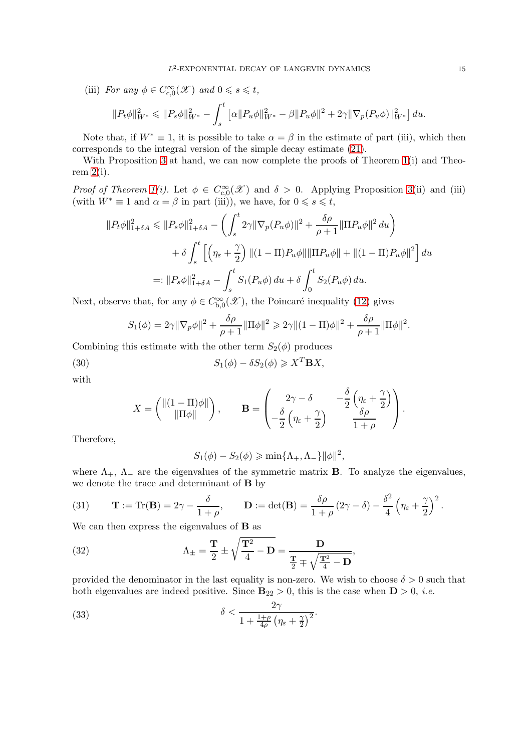(iii) For any  $\phi \in C_{c,0}^{\infty}(\mathscr{X})$  and  $0 \leq s \leq t$ ,  $||P_t \phi||_{W^*}^2 \leq ||P_s \phi||_{W^*}^2 \int_0^t \left[ \alpha \|P_u \phi\|_{W^*}^2 - \beta \|P_u \phi\|^2 + 2\gamma \|\nabla_p (P_u \phi)\|_{W^*}^2 \right] du.$ 

Note that, if 
$$
W^* \equiv 1
$$
, it is possible to take  $\alpha = \beta$  in the estimate of part (iii), which t

Note that, if  $W^* \equiv 1$ , it is possible to take  $\alpha = \beta$  in the estimate of part (iii), which then corresponds to the integral version of the simple decay estimate [\(21\)](#page-10-2).

With Proposition [3](#page-13-0) at hand, we can now complete the proofs of Theorem [1\(](#page-7-2)i) and Theorem  $2(i)$ .

Proof of Theorem [1\(](#page-7-2)i). Let  $\phi \in C_{c,0}^{\infty}(\mathscr{X})$  and  $\delta > 0$ . Applying Proposition [3\(](#page-13-0)ii) and (iii) (with  $W^* \equiv 1$  and  $\alpha = \beta$  in part (iii)), we have, for  $0 \le s \le t$ ,

$$
||P_t \phi||_{1+\delta A}^2 \le ||P_s \phi||_{1+\delta A}^2 - \left(\int_s^t 2\gamma ||\nabla_p (P_u \phi)||^2 + \frac{\delta \rho}{\rho + 1} ||\Pi P_u \phi||^2 du\right) + \delta \int_s^t \left[ \left(\eta_\varepsilon + \frac{\gamma}{2}\right) ||(1 - \Pi)P_u \phi|| ||\Pi P_u \phi|| + ||(1 - \Pi)P_u \phi||^2 \right] du =: ||P_s \phi||_{1+\delta A}^2 - \int_s^t S_1(P_u \phi) du + \delta \int_0^t S_2(P_u \phi) du.
$$

Next, observe that, for any  $\phi \in C_{b,0}^{\infty}(\mathscr{X})$ , the Poincaré inequality [\(12\)](#page-6-2) gives

$$
S_1(\phi) = 2\gamma \|\nabla_p \phi\|^2 + \frac{\delta \rho}{\rho + 1} \|\Pi \phi\|^2 \geq 2\gamma \|(1 - \Pi)\phi\|^2 + \frac{\delta \rho}{\rho + 1} \|\Pi \phi\|^2.
$$

Combining this estimate with the other term  $S_2(\phi)$  produces

(30) 
$$
S_1(\phi) - \delta S_2(\phi) \ge X^T \mathbf{B} X,
$$

with

$$
X = \begin{pmatrix} ||(1-\Pi)\phi|| \\ ||\Pi\phi|| \end{pmatrix}, \qquad \mathbf{B} = \begin{pmatrix} 2\gamma - \delta & -\frac{\delta}{2} \left( \eta_{\varepsilon} + \frac{\gamma}{2} \right) \\ -\frac{\delta}{2} \left( \eta_{\varepsilon} + \frac{\gamma}{2} \right) & \frac{\delta\rho}{1+\rho} \end{pmatrix}.
$$

Therefore,

<span id="page-14-0"></span>
$$
S_1(\phi) - S_2(\phi) \ge \min\{\Lambda_+, \Lambda_-\} ||\phi||^2,
$$

where  $\Lambda_+$ ,  $\Lambda_-$  are the eigenvalues of the symmetric matrix **B**. To analyze the eigenvalues, we denote the trace and determinant of B by

(31) 
$$
\mathbf{T} := \text{Tr}(\mathbf{B}) = 2\gamma - \frac{\delta}{1+\rho}, \qquad \mathbf{D} := \det(\mathbf{B}) = \frac{\delta\rho}{1+\rho}(2\gamma - \delta) - \frac{\delta^2}{4}\left(\eta_{\varepsilon} + \frac{\gamma}{2}\right)^2.
$$

We can then express the eigenvalues of **B** as

(32) 
$$
\Lambda_{\pm} = \frac{\mathbf{T}}{2} \pm \sqrt{\frac{\mathbf{T}^2}{4} - \mathbf{D}} = \frac{\mathbf{D}}{\frac{\mathbf{T}}{2} \mp \sqrt{\frac{\mathbf{T}^2}{4} - \mathbf{D}}},
$$

provided the denominator in the last equality is non-zero. We wish to choose  $\delta > 0$  such that both eigenvalues are indeed positive. Since  $B_{22} > 0$ , this is the case when  $D > 0$ , *i.e.* 

(33) 
$$
\delta < \frac{2\gamma}{1 + \frac{1+\rho}{4\rho} \left(\eta_{\varepsilon} + \frac{\gamma}{2}\right)^2}.
$$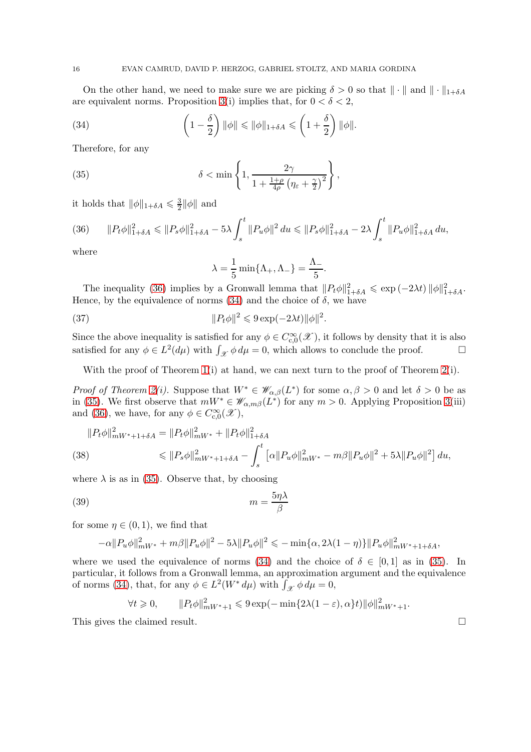On the other hand, we need to make sure we are picking  $\delta > 0$  so that  $\|\cdot\|$  and  $\|\cdot\|_{1+\delta A}$ are equivalent norms. Proposition [3\(](#page-13-0)i) implies that, for  $0 < \delta < 2$ ,

<span id="page-15-1"></span>(34) 
$$
\left(1-\frac{\delta}{2}\right)\|\phi\| \le \|\phi\|_{1+\delta A} \le \left(1+\frac{\delta}{2}\right)\|\phi\|.
$$

Therefore, for any

<span id="page-15-2"></span>(35) 
$$
\delta < \min\left\{1, \frac{2\gamma}{1 + \frac{1+\rho}{4\rho}\left(\eta_{\varepsilon} + \frac{\gamma}{2}\right)^2}\right\},
$$

it holds that  $\|\phi\|_{1+\delta A} \leq \frac{3}{2}$  $\frac{3}{2}$ || $\phi$ || and

<span id="page-15-0"></span>(36) 
$$
||P_t\phi||_{1+\delta A}^2 \le ||P_s\phi||_{1+\delta A}^2 - 5\lambda \int_s^t ||P_u\phi||^2 du \le ||P_s\phi||_{1+\delta A}^2 - 2\lambda \int_s^t ||P_u\phi||_{1+\delta A}^2 du,
$$

where

$$
\lambda = \frac{1}{5} \min\{\Lambda_+, \Lambda_-\} = \frac{\Lambda_-}{5}.
$$

The inequality [\(36\)](#page-15-0) implies by a Gronwall lemma that  $||P_t\phi||_{1+\delta A}^2 \leq \exp(-2\lambda t) ||\phi||_{1+\delta A}^2$ . Hence, by the equivalence of norms [\(34\)](#page-15-1) and the choice of  $\delta$ , we have

(37) 
$$
||P_t\phi||^2 \leqslant 9\exp(-2\lambda t) ||\phi||^2.
$$

Since the above inequality is satisfied for any  $\phi \in C_{c,0}^{\infty}(\mathscr{X})$ , it follows by density that it is also satisfied for any  $\phi \in L^2(d\mu)$  with  $\int_{\mathcal{X}} \phi \, d\mu = 0$ , which allows to conclude the proof.

With the proof of Theorem [1\(](#page-7-2)i) at hand, we can next turn to the proof of Theorem [2\(](#page-7-0)i).

Proof of Theorem [2\(](#page-7-0)i). Suppose that  $W^* \in \mathscr{W}_{\alpha,\beta}(L^*)$  for some  $\alpha,\beta > 0$  and let  $\delta > 0$  be as in [\(35\)](#page-15-2). We first observe that  $mW^* \in \mathscr{W}_{\alpha,m\beta}(L^*)$  for any  $m > 0$ . Applying Proposition [3\(](#page-13-0)iii) and [\(36\)](#page-15-0), we have, for any  $\phi \in C_{c,0}^{\infty}(\mathscr{X}),$ 

$$
||P_t \phi||_{mW^* + 1 + \delta A}^2 = ||P_t \phi||_{mW^*}^2 + ||P_t \phi||_{1 + \delta A}^2
$$
  
(38)  

$$
\leq ||P_s \phi||_{mW^* + 1 + \delta A}^2 - \int_s^t [\alpha ||P_u \phi||_{mW^*}^2 - m\beta ||P_u \phi||^2 + 5\lambda ||P_u \phi||^2] du,
$$

where  $\lambda$  is as in [\(35\)](#page-15-2). Observe that, by choosing

$$
(39) \t\t\t m = \frac{5\eta\lambda}{\beta}
$$

for some  $\eta \in (0,1)$ , we find that

$$
-\alpha ||P_u \phi||_{mW^*}^2 + m\beta ||P_u \phi||^2 - 5\lambda ||P_u \phi||^2 \leq -\min{\{\alpha, 2\lambda(1-\eta)\}} ||P_u \phi||_{mW^*+1+\delta A}^2,
$$

where we used the equivalence of norms [\(34\)](#page-15-1) and the choice of  $\delta \in [0,1]$  as in [\(35\)](#page-15-2). In particular, it follows from a Gronwall lemma, an approximation argument and the equivalence of norms [\(34\)](#page-15-1), that, for any  $\phi \in L^2(W^* d\mu)$  with  $\int_{\mathcal{X}} \phi d\mu = 0$ ,

$$
\forall t \geq 0, \qquad \|P_t \phi\|_{mW^*+1}^2 \leq 9 \exp(-\min\{2\lambda(1-\varepsilon), \alpha\}t) \|\phi\|_{mW^*+1}^2.
$$

This gives the claimed result.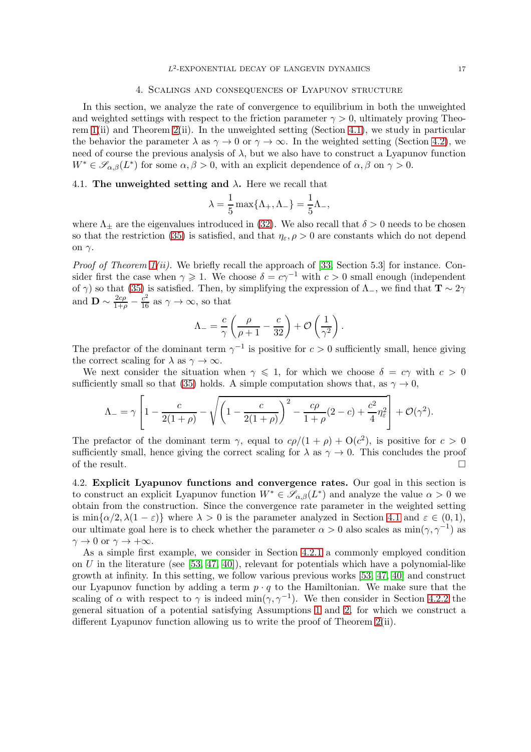#### 4. Scalings and consequences of Lyapunov structure

<span id="page-16-0"></span>In this section, we analyze the rate of convergence to equilibrium in both the unweighted and weighted settings with respect to the friction parameter  $\gamma > 0$ , ultimately proving Theorem  $1(ii)$  and Theorem  $2(ii)$ . In the unweighted setting (Section [4.1\)](#page-16-1), we study in particular the behavior the parameter  $\lambda$  as  $\gamma \to 0$  or  $\gamma \to \infty$ . In the weighted setting (Section [4.2\)](#page-16-2), we need of course the previous analysis of  $\lambda$ , but we also have to construct a Lyapunov function  $W^* \in \mathscr{S}_{\alpha,\beta}(L^*)$  for some  $\alpha,\beta > 0$ , with an explicit dependence of  $\alpha,\beta$  on  $\gamma > 0$ .

## <span id="page-16-1"></span>4.1. The unweighted setting and  $\lambda$ . Here we recall that

$$
\lambda = \frac{1}{5} \max\{\Lambda_+, \Lambda_-\} = \frac{1}{5} \Lambda_-,
$$

where  $\Lambda_{\pm}$  are the eigenvalues introduced in [\(32\)](#page-14-0). We also recall that  $\delta > 0$  needs to be chosen so that the restriction [\(35\)](#page-15-2) is satisfied, and that  $\eta_{\varepsilon}, \rho > 0$  are constants which do not depend on  $\gamma$ .

*Proof of Theorem [1\(](#page-7-2)ii).* We briefly recall the approach of [\[33,](#page-32-22) Section 5.3] for instance. Consider first the case when  $\gamma \geq 1$ . We choose  $\delta = c\gamma^{-1}$  with  $c > 0$  small enough (independent of  $\gamma$ ) so that [\(35\)](#page-15-2) is satisfied. Then, by simplifying the expression of  $\Lambda$ <sub>−</sub>, we find that  $\mathbf{T} \sim 2\gamma$ and  $\mathbf{D} \sim \frac{2c\rho}{1+\rho} - \frac{c^2}{16}$  as  $\gamma \to \infty$ , so that

$$
\Lambda_{-} = \frac{c}{\gamma} \left( \frac{\rho}{\rho + 1} - \frac{c}{32} \right) + \mathcal{O} \left( \frac{1}{\gamma^2} \right).
$$

The prefactor of the dominant term  $\gamma^{-1}$  is positive for  $c > 0$  sufficiently small, hence giving the correct scaling for  $\lambda$  as  $\gamma \to \infty$ .

We next consider the situation when  $\gamma \leq 1$ , for which we choose  $\delta = c\gamma$  with  $c > 0$ sufficiently small so that [\(35\)](#page-15-2) holds. A simple computation shows that, as  $\gamma \to 0$ ,

$$
\Lambda_{-} = \gamma \left[ 1 - \frac{c}{2(1+\rho)} - \sqrt{\left(1 - \frac{c}{2(1+\rho)}\right)^2 - \frac{c\rho}{1+\rho}(2-c) + \frac{c^2}{4}\eta_{\varepsilon}^2} \right] + \mathcal{O}(\gamma^2).
$$

The prefactor of the dominant term  $\gamma$ , equal to  $c\rho/(1+\rho)+O(c^2)$ , is positive for  $c>0$ sufficiently small, hence giving the correct scaling for  $\lambda$  as  $\gamma \to 0$ . This concludes the proof of the result. of the result.

<span id="page-16-2"></span>4.2. Explicit Lyapunov functions and convergence rates. Our goal in this section is to construct an explicit Lyapunov function  $W^* \in \mathscr{S}_{\alpha,\beta}(L^*)$  and analyze the value  $\alpha > 0$  we obtain from the construction. Since the convergence rate parameter in the weighted setting is min $\{\alpha/2, \lambda(1-\varepsilon)\}\$  where  $\lambda > 0$  is the parameter analyzed in Section [4.1](#page-16-1) and  $\varepsilon \in (0,1),$ our ultimate goal here is to check whether the parameter  $\alpha > 0$  also scales as  $\min(\gamma, \gamma^{-1})$  as  $\gamma \to 0$  or  $\gamma \to +\infty$ .

As a simple first example, we consider in Section [4.2.1](#page-17-0) a commonly employed condition on  $U$  in the literature (see [\[53,](#page-33-4) [47,](#page-33-5) [40\]](#page-32-4)), relevant for potentials which have a polynomial-like growth at infinity. In this setting, we follow various previous works [\[53,](#page-33-4) [47,](#page-33-5) [40\]](#page-32-4) and construct our Lyapunov function by adding a term  $p \cdot q$  to the Hamiltonian. We make sure that the scaling of  $\alpha$  with respect to  $\gamma$  is indeed min $(\gamma, \gamma^{-1})$ . We then consider in Section [4.2.2](#page-18-1) the general situation of a potential satisfying Assumptions [1](#page-2-1) and [2,](#page-3-0) for which we construct a different Lyapunov function allowing us to write the proof of Theorem [2\(](#page-7-0)ii).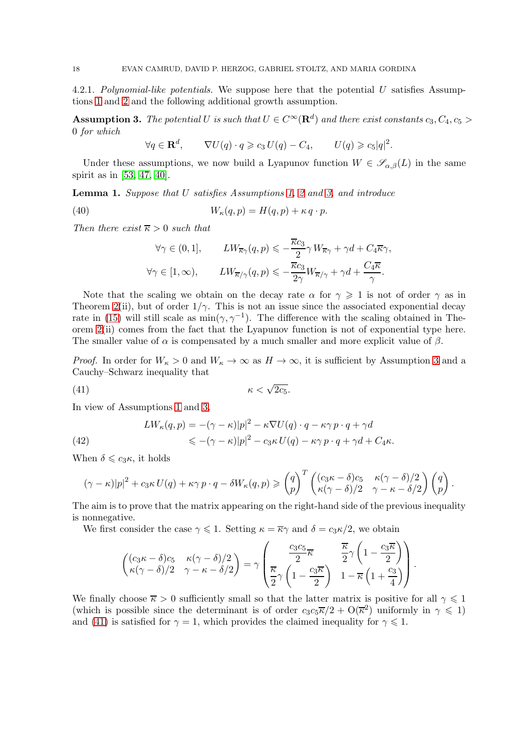<span id="page-17-0"></span>4.2.1. Polynomial-like potentials. We suppose here that the potential U satisfies Assumptions [1](#page-2-1) and [2](#page-3-0) and the following additional growth assumption.

<span id="page-17-1"></span>**Assumption 3.** The potential U is such that  $U \in C^{\infty}(\mathbf{R}^d)$  and there exist constants  $c_3, C_4, c_5 >$ 0 for which

$$
\forall q \in \mathbf{R}^d, \qquad \nabla U(q) \cdot q \geqslant c_3 \, U(q) - C_4, \qquad U(q) \geqslant c_5 |q|^2.
$$

Under these assumptions, we now build a Lyapunov function  $W \in \mathscr{S}_{\alpha,\beta}(L)$  in the same spirit as in [\[53,](#page-33-4) [47,](#page-33-5) [40\]](#page-32-4).

<span id="page-17-5"></span>**Lemma 1.** Suppose that  $U$  satisfies Assumptions [1,](#page-2-1) [2](#page-3-0) and [3,](#page-17-1) and introduce

<span id="page-17-3"></span>(40) 
$$
W_{\kappa}(q,p) = H(q,p) + \kappa q \cdot p.
$$

Then there exist  $\overline{\kappa} > 0$  such that

$$
\forall \gamma \in (0,1], \qquad LW_{\overline{\kappa}\gamma}(q,p) \leqslant -\frac{\overline{\kappa}c_3}{2} \gamma W_{\overline{\kappa}\gamma} + \gamma d + C_4 \overline{\kappa} \gamma,
$$

$$
\forall \gamma \in [1,\infty), \qquad LW_{\overline{\kappa}/\gamma}(q,p) \leqslant -\frac{\overline{\kappa}c_3}{2\gamma} W_{\overline{\kappa}/\gamma} + \gamma d + \frac{C_4 \overline{\kappa}}{\gamma}.
$$

Note that the scaling we obtain on the decay rate  $\alpha$  for  $\gamma \geq 1$  is not of order  $\gamma$  as in Theorem [2\(](#page-7-0)ii), but of order  $1/\gamma$ . This is not an issue since the associated exponential decay rate in [\(15\)](#page-7-3) will still scale as  $\min(\gamma, \gamma^{-1})$ . The difference with the scaling obtained in Theorem [2\(](#page-7-0)ii) comes from the fact that the Lyapunov function is not of exponential type here. The smaller value of  $\alpha$  is compensated by a much smaller and more explicit value of  $\beta$ .

*Proof.* In order for  $W_{\kappa} > 0$  and  $W_{\kappa} \to \infty$  as  $H \to \infty$ , it is sufficient by Assumption [3](#page-17-1) and a Cauchy–Schwarz inequality that

<span id="page-17-2"></span>
$$
\kappa < \sqrt{2c_5}.
$$

In view of Assumptions [1](#page-2-1) and [3,](#page-17-1)

<span id="page-17-4"></span>(42) 
$$
LW_{\kappa}(q, p) = -(\gamma - \kappa)|p|^{2} - \kappa \nabla U(q) \cdot q - \kappa \gamma p \cdot q + \gamma d
$$

$$
\leqslant -(\gamma - \kappa)|p|^{2} - c_{3}\kappa U(q) - \kappa \gamma p \cdot q + \gamma d + C_{4}\kappa.
$$

When  $\delta \leqslant c_3 \kappa$ , it holds

$$
(\gamma - \kappa)|p|^2 + c_3 \kappa U(q) + \kappa \gamma p \cdot q - \delta W_{\kappa}(q, p) \geq {q \choose p}^T { (c_3 \kappa - \delta)c_5 \over \kappa (\gamma - \delta)/2} { \kappa (\gamma - \delta)/2 \choose p} {q \choose p}.
$$

The aim is to prove that the matrix appearing on the right-hand side of the previous inequality is nonnegative.

We first consider the case  $\gamma \leq 1$ . Setting  $\kappa = \overline{\kappa}\gamma$  and  $\delta = c_3\kappa/2$ , we obtain

$$
\begin{pmatrix}\n(c_3 \kappa - \delta)c_5 & \kappa(\gamma - \delta)/2 \\
\kappa(\gamma - \delta)/2 & \gamma - \kappa - \delta/2\n\end{pmatrix} = \gamma \begin{pmatrix}\n\frac{c_3 c_5}{2} \overline{\kappa} & \overline{\frac{\kappa}{2}} \gamma \left(1 - \frac{c_3 \overline{\kappa}}{2}\right) \\
\overline{\frac{\kappa}{2}} \gamma \left(1 - \frac{c_3 \overline{\kappa}}{2}\right) & 1 - \overline{\kappa} \left(1 + \frac{c_3}{4}\right)\n\end{pmatrix}.
$$

We finally choose  $\overline{\kappa} > 0$  sufficiently small so that the latter matrix is positive for all  $\gamma \leq 1$ (which is possible since the determinant is of order  $c_3c_5\overline{\kappa}/2 + O(\overline{\kappa}^2)$  uniformly in  $\gamma \leq 1$ ) and [\(41\)](#page-17-2) is satisfied for  $\gamma = 1$ , which provides the claimed inequality for  $\gamma \leq 1$ .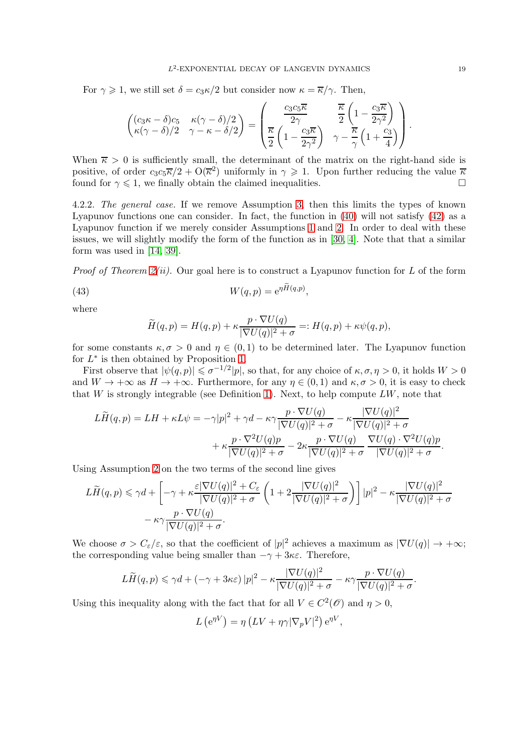For  $\gamma \geq 1$ , we still set  $\delta = c_3 \kappa/2$  but consider now  $\kappa = \overline{\kappa}/\gamma$ . Then,

$$
\begin{pmatrix}\n(c_3\kappa - \delta)c_5 & \kappa(\gamma - \delta)/2 \\
\kappa(\gamma - \delta)/2 & \gamma - \kappa - \delta/2\n\end{pmatrix} = \begin{pmatrix}\n\frac{c_3c_5\overline{\kappa}}{2\gamma} & \frac{\overline{\kappa}}{2}\left(1 - \frac{c_3\overline{\kappa}}{2\gamma^2}\right) \\
\frac{\overline{\kappa}}{2}\left(1 - \frac{c_3\overline{\kappa}}{2\gamma^2}\right) & \gamma - \frac{\overline{\kappa}}{\gamma}\left(1 + \frac{c_3}{4}\right)\n\end{pmatrix}.
$$

When  $\overline{\kappa} > 0$  is sufficiently small, the determinant of the matrix on the right-hand side is positive, of order  $c_3c_5\overline{\kappa}/2 + O(\overline{\kappa}^2)$  uniformly in  $\gamma \geq 1$ . Upon further reducing the value  $\overline{\kappa}$ found for  $\gamma \leq 1$ , we finally obtain the claimed inequalities.

<span id="page-18-1"></span>4.2.2. The general case. If we remove Assumption [3,](#page-17-1) then this limits the types of known Lyapunov functions one can consider. In fact, the function in [\(40\)](#page-17-3) will not satisfy [\(42\)](#page-17-4) as a Lyapunov function if we merely consider Assumptions [1](#page-2-1) and [2.](#page-3-0) In order to deal with these issues, we will slightly modify the form of the function as in [\[30,](#page-32-14) [4\]](#page-31-5). Note that that a similar form was used in [\[14,](#page-32-24) [39\]](#page-32-15).

*Proof of Theorem [2\(](#page-7-0)ii).* Our goal here is to construct a Lyapunov function for L of the form

<span id="page-18-0"></span>,

(43) 
$$
W(q, p) = e^{\eta \widetilde{H}(q, p)}
$$

where

$$
\widetilde{H}(q,p) = H(q,p) + \kappa \frac{p \cdot \nabla U(q)}{|\nabla U(q)|^2 + \sigma} =: H(q,p) + \kappa \psi(q,p),
$$

for some constants  $\kappa, \sigma > 0$  and  $\eta \in (0, 1)$  to be determined later. The Lyapunov function for  $L^*$  is then obtained by Proposition [1.](#page-6-3)

First observe that  $|\psi(q,p)| \leq \sigma^{-1/2}|p|$ , so that, for any choice of  $\kappa, \sigma, \eta > 0$ , it holds  $W > 0$ and  $W \to +\infty$  as  $H \to +\infty$ . Furthermore, for any  $\eta \in (0,1)$  and  $\kappa, \sigma > 0$ , it is easy to check that  $W$  is strongly integrable (see Definition [1\)](#page-5-3). Next, to help compute  $LW$ , note that

$$
L\widetilde{H}(q,p) = LH + \kappa L\psi = -\gamma|p|^2 + \gamma d - \kappa\gamma \frac{p \cdot \nabla U(q)}{|\nabla U(q)|^2 + \sigma} - \kappa \frac{|\nabla U(q)|^2}{|\nabla U(q)|^2 + \sigma} + \kappa \frac{p \cdot \nabla^2 U(q)p}{|\nabla U(q)|^2 + \sigma} - 2\kappa \frac{p \cdot \nabla U(q)}{|\nabla U(q)|^2 + \sigma} \frac{\nabla U(q) \cdot \nabla^2 U(q)p}{|\nabla U(q)|^2 + \sigma}.
$$

Using Assumption [2](#page-3-0) on the two terms of the second line gives

$$
L\widetilde{H}(q,p) \leq \gamma d + \left[ -\gamma + \kappa \frac{\varepsilon |\nabla U(q)|^2 + C_{\varepsilon}}{|\nabla U(q)|^2 + \sigma} \left( 1 + 2 \frac{|\nabla U(q)|^2}{|\nabla U(q)|^2 + \sigma} \right) \right] |p|^2 - \kappa \frac{|\nabla U(q)|^2}{|\nabla U(q)|^2 + \sigma} - \kappa \gamma \frac{p \cdot \nabla U(q)}{|\nabla U(q)|^2 + \sigma}.
$$

We choose  $\sigma > C_{\varepsilon}/\varepsilon$ , so that the coefficient of  $|p|^2$  achieves a maximum as  $|\nabla U(q)| \to +\infty$ ; the corresponding value being smaller than  $-\gamma + 3\kappa \varepsilon$ . Therefore,

$$
L\widetilde{H}(q,p) \leq \gamma d + (-\gamma + 3\kappa\varepsilon) |p|^2 - \kappa \frac{|\nabla U(q)|^2}{|\nabla U(q)|^2 + \sigma} - \kappa\gamma \frac{p \cdot \nabla U(q)}{|\nabla U(q)|^2 + \sigma}.
$$

Using this inequality along with the fact that for all  $V \in C^2(\mathcal{O})$  and  $\eta > 0$ ,

$$
L\left(e^{\eta V}\right) = \eta \left( LV + \eta \gamma |\nabla_p V|^2\right) e^{\eta V},
$$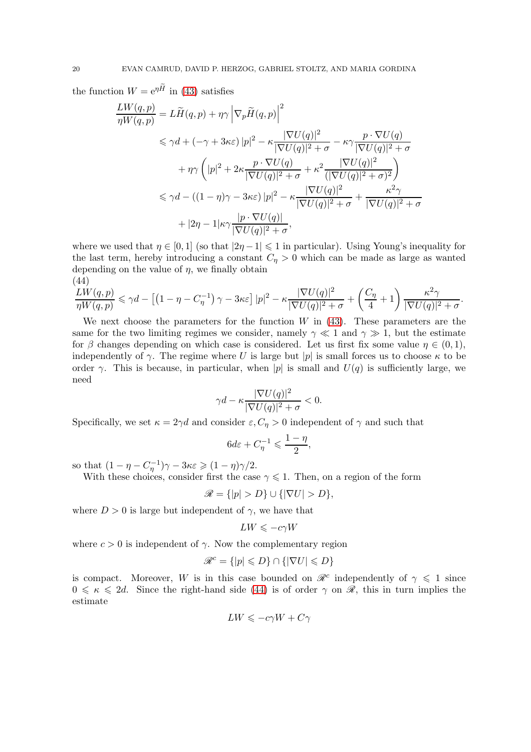the function  $W = e^{\eta \tilde{H}}$  in [\(43\)](#page-18-0) satisfies

$$
\frac{LW(q,p)}{\eta W(q,p)} = L\widetilde{H}(q,p) + \eta \gamma \left| \nabla_p \widetilde{H}(q,p) \right|^2
$$
  
\n
$$
\leq \gamma d + (-\gamma + 3\kappa \varepsilon) |p|^2 - \kappa \frac{|\nabla U(q)|^2}{|\nabla U(q)|^2 + \sigma} - \kappa \gamma \frac{p \cdot \nabla U(q)}{|\nabla U(q)|^2 + \sigma}
$$
  
\n
$$
+ \eta \gamma \left( |p|^2 + 2\kappa \frac{p \cdot \nabla U(q)}{|\nabla U(q)|^2 + \sigma} + \kappa^2 \frac{|\nabla U(q)|^2}{(|\nabla U(q)|^2 + \sigma)^2} \right)
$$
  
\n
$$
\leq \gamma d - ((1 - \eta)\gamma - 3\kappa \varepsilon) |p|^2 - \kappa \frac{|\nabla U(q)|^2}{|\nabla U(q)|^2 + \sigma} + \frac{\kappa^2 \gamma}{|\nabla U(q)|^2 + \sigma}
$$
  
\n
$$
+ |2\eta - 1|\kappa \gamma \frac{|p \cdot \nabla U(q)|}{|\nabla U(q)|^2 + \sigma},
$$

where we used that  $\eta \in [0,1]$  (so that  $|2\eta -1| \leq 1$  in particular). Using Young's inequality for the last term, hereby introducing a constant  $C_n > 0$  which can be made as large as wanted depending on the value of  $\eta$ , we finally obtain (44)

<span id="page-19-0"></span>
$$
\frac{LW(q,p)}{\eta W(q,p)} \leq \gamma d - \left[ \left(1 - \eta - C_{\eta}^{-1}\right) \gamma - 3\kappa \varepsilon \right] |p|^2 - \kappa \frac{|\nabla U(q)|^2}{|\nabla U(q)|^2 + \sigma} + \left(\frac{C_{\eta}}{4} + 1\right) \frac{\kappa^2 \gamma}{|\nabla U(q)|^2 + \sigma}.
$$

We next choose the parameters for the function  $W$  in [\(43\)](#page-18-0). These parameters are the same for the two limiting regimes we consider, namely  $\gamma \ll 1$  and  $\gamma \gg 1$ , but the estimate for  $\beta$  changes depending on which case is considered. Let us first fix some value  $\eta \in (0,1)$ , independently of  $\gamma$ . The regime where U is large but |p| is small forces us to choose  $\kappa$  to be order  $\gamma$ . This is because, in particular, when |p| is small and  $U(q)$  is sufficiently large, we need

$$
\gamma d - \kappa \frac{|\nabla U(q)|^2}{|\nabla U(q)|^2 + \sigma} < 0.
$$

Specifically, we set  $\kappa = 2\gamma d$  and consider  $\varepsilon$ ,  $C_{\eta} > 0$  independent of  $\gamma$  and such that

$$
6d\varepsilon+C_\eta^{-1}\leqslant\frac{1-\eta}{2},
$$

so that  $(1 - \eta - C_{\eta}^{-1})\gamma - 3\kappa \varepsilon \geq (1 - \eta)\gamma/2$ .

With these choices, consider first the case  $\gamma \leq 1$ . Then, on a region of the form

$$
\mathscr{R} = \{ |p| > D \} \cup \{ |\nabla U| > D \},
$$

where  $D > 0$  is large but independent of  $\gamma$ , we have that

$$
LW \leqslant -c\gamma W
$$

where  $c > 0$  is independent of  $\gamma$ . Now the complementary region

$$
\mathcal{R}^c = \{ |p| \leqslant D \} \cap \{ |\nabla U| \leqslant D \}
$$

is compact. Moreover, W is in this case bounded on  $\mathcal{R}^c$  independently of  $\gamma \leq 1$  since  $0 \leq \kappa \leq 2d$ . Since the right-hand side [\(44\)](#page-19-0) is of order  $\gamma$  on  $\mathscr{R}$ , this in turn implies the estimate

$$
LW\leqslant -c\gamma W+C\gamma
$$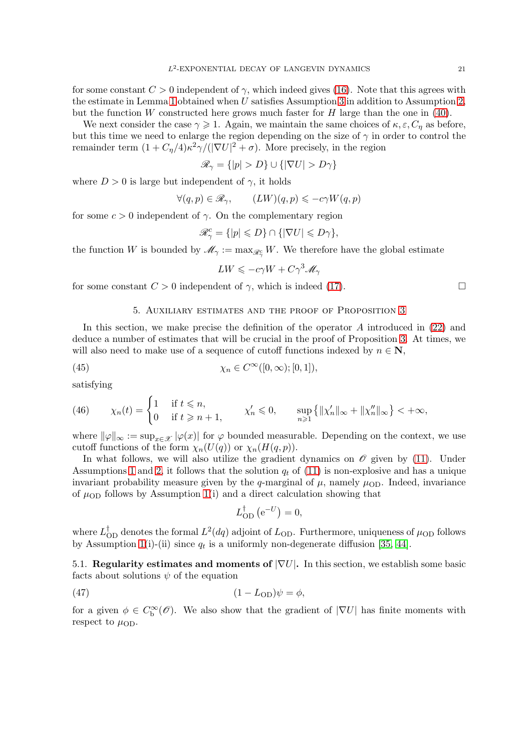for some constant  $C > 0$  independent of  $\gamma$ , which indeed gives [\(16\)](#page-8-0). Note that this agrees with the estimate in Lemma [1](#page-17-5) obtained when U satisfies Assumption [3](#page-17-1) in addition to Assumption [2,](#page-3-0) but the function W constructed here grows much faster for  $H$  large than the one in [\(40\)](#page-17-3).

We next consider the case  $\gamma \geq 1$ . Again, we maintain the same choices of  $\kappa, \varepsilon, C_{\eta}$  as before, but this time we need to enlarge the region depending on the size of  $\gamma$  in order to control the remainder term  $(1 + C_{\eta}/4) \kappa^2 \gamma / (|\nabla U|^2 + \sigma)$ . More precisely, in the region

$$
\mathscr{R}_{\gamma} = \{|p| > D\} \cup \{|\nabla U| > D\gamma\}
$$

where  $D > 0$  is large but independent of  $\gamma$ , it holds

$$
\forall (q,p)\in\mathscr{R}_{\gamma},\qquad (LW)(q,p)\leqslant-c\gamma W(q,p)
$$

for some  $c > 0$  independent of  $\gamma$ . On the complementary region

$$
\mathcal{R}^c_\gamma = \{ |p| \leqslant D \} \cap \{ |\nabla U| \leqslant D\gamma \},
$$

the function W is bounded by  $\mathscr{M}_{\gamma} := \max_{\mathscr{R}_{\gamma}} W$ . We therefore have the global estimate

$$
LW \leqslant -c\gamma W + C\gamma^3 \mathscr{M}_\gamma
$$

<span id="page-20-0"></span>for some constant  $C > 0$  independent of  $\gamma$ , which is indeed [\(17\)](#page-8-1).

## 5. Auxiliary estimates and the proof of Proposition [3](#page-13-0)

In this section, we make precise the definition of the operator A introduced in [\(22\)](#page-11-0) and deduce a number of estimates that will be crucial in the proof of Proposition [3.](#page-13-0) At times, we will also need to make use of a sequence of cutoff functions indexed by  $n \in \mathbb{N}$ ,

<span id="page-20-3"></span>(45) 
$$
\chi_n \in C^{\infty}([0,\infty);[0,1]),
$$

satisfying

(46) 
$$
\chi_n(t) = \begin{cases} 1 & \text{if } t \leq n, \\ 0 & \text{if } t \geq n+1, \end{cases} \quad \chi'_n \leq 0, \quad \sup_{n \geq 1} \{ ||\chi'_n||_{\infty} + ||\chi''_n||_{\infty} \} < +\infty,
$$

where  $\|\varphi\|_{\infty} := \sup_{x \in \mathcal{X}} |\varphi(x)|$  for  $\varphi$  bounded measurable. Depending on the context, we use cutoff functions of the form  $\chi_n(U(q))$  or  $\chi_n(H(q, p)).$ 

In what follows, we will also utilize the gradient dynamics on  $\mathcal O$  given by [\(11\)](#page-5-4). Under Assumptions [1](#page-2-1) and [2,](#page-3-0) it follows that the solution  $q_t$  of [\(11\)](#page-5-4) is non-explosive and has a unique invariant probability measure given by the q-marginal of  $\mu$ , namely  $\mu_{OD}$ . Indeed, invariance of  $\mu_{OD}$  follows by Assumption [1\(](#page-2-1)i) and a direct calculation showing that

$$
L_{\text{OD}}^{\dagger} (e^{-U}) = 0,
$$

where  $L_{\rm OD}^{\dagger}$  denotes the formal  $L^2(dq)$  adjoint of  $L_{\rm OD}$ . Furthermore, uniqueness of  $\mu_{\rm OD}$  follows by Assumption [1\(](#page-2-1)i)-(ii) since  $q_t$  is a uniformly non-degenerate diffusion [\[35,](#page-32-17) [44\]](#page-33-10).

<span id="page-20-1"></span>5.1. Regularity estimates and moments of  $|\nabla U|$ . In this section, we establish some basic facts about solutions  $\psi$  of the equation

<span id="page-20-2"></span>
$$
(47) \t\t\t\t\t(1-LOD)\psi = \phi,
$$

for a given  $\phi \in C^{\infty}_b(\mathscr{O})$ . We also show that the gradient of  $|\nabla U|$  has finite moments with respect to  $\mu_{OD}$ .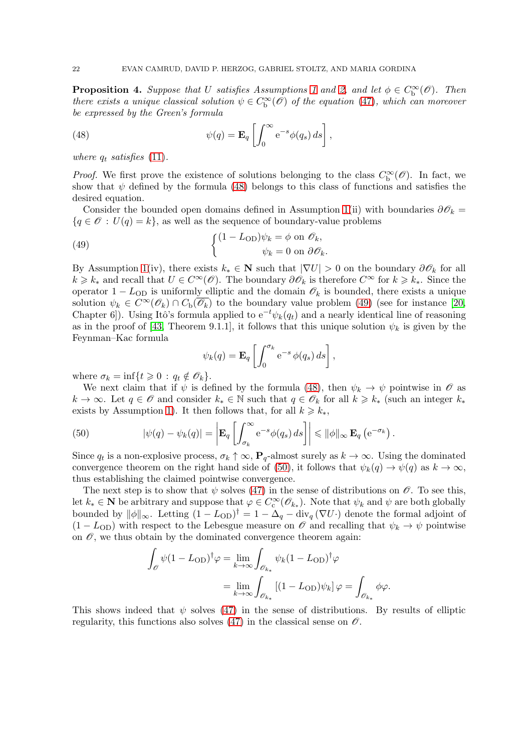<span id="page-21-3"></span>**Proposition 4.** Suppose that U satisfies Assumptions [1](#page-2-1) and [2,](#page-3-0) and let  $\phi \in C_{\rm b}^{\infty}(\mathscr{O})$ . Then there exists a unique classical solution  $\psi \in C^{\infty}_b(\mathscr{O})$  of the equation [\(47\)](#page-20-2), which can moreover be expressed by the Green's formula

<span id="page-21-0"></span>(48) 
$$
\psi(q) = \mathbf{E}_q \left[ \int_0^\infty e^{-s} \phi(q_s) ds \right],
$$

where  $q_t$  satisfies [\(11\)](#page-5-4).

*Proof.* We first prove the existence of solutions belonging to the class  $C_b^{\infty}(\mathscr{O})$ . In fact, we show that  $\psi$  defined by the formula [\(48\)](#page-21-0) belongs to this class of functions and satisfies the desired equation.

Consider the bounded open domains defined in Assumption [1\(](#page-2-1)ii) with boundaries  $\partial \mathscr{O}_k =$  ${q \in \mathscr{O} : U(q) = k}$ , as well as the sequence of boundary-value problems

(49) 
$$
\begin{cases} (1 - L_{\text{OD}}) \psi_k = \phi \text{ on } \mathscr{O}_k, \\ \psi_k = 0 \text{ on } \partial \mathscr{O}_k. \end{cases}
$$

By Assumption [1\(](#page-2-1)iv), there exists  $k_* \in \mathbb{N}$  such that  $|\nabla U| > 0$  on the boundary  $\partial \mathscr{O}_k$  for all  $k \geq k_*$  and recall that  $U \in C^{\infty}(\mathscr{O})$ . The boundary  $\partial \mathscr{O}_k$  is therefore  $C^{\infty}$  for  $k \geq k_*$ . Since the operator  $1 - L_{OD}$  is uniformly elliptic and the domain  $\mathcal{O}_k$  is bounded, there exists a unique solution  $\psi_k \in C^{\infty}(\mathscr{O}_k) \cap C_{\text{b}}(\overline{\mathscr{O}_k})$  to the boundary value problem [\(49\)](#page-21-1) (see for instance [\[20,](#page-32-25) Chapter 6]). Using Itô's formula applied to  $e^{-t}\psi_k(q_t)$  and a nearly identical line of reasoning as in the proof of [\[43,](#page-33-12) Theorem 9.1.1], it follows that this unique solution  $\psi_k$  is given by the Feynman–Kac formula

<span id="page-21-1"></span>
$$
\psi_k(q) = \mathbf{E}_q \left[ \int_0^{\sigma_k} e^{-s} \phi(q_s) ds \right],
$$

where  $\sigma_k = \inf\{t \geq 0 : q_t \notin \mathscr{O}_k\}.$ 

We next claim that if  $\psi$  is defined by the formula [\(48\)](#page-21-0), then  $\psi_k \to \psi$  pointwise in  $\mathscr O$  as  $k \to \infty$ . Let  $q \in \mathcal{O}$  and consider  $k_* \in \mathbb{N}$  such that  $q \in \mathcal{O}_k$  for all  $k \geq k_*$  (such an integer  $k_*$ exists by Assumption [1\)](#page-2-1). It then follows that, for all  $k \geq k_*,$ 

<span id="page-21-2"></span>(50) 
$$
|\psi(q) - \psi_k(q)| = \left| \mathbf{E}_q \left[ \int_{\sigma_k}^{\infty} e^{-s} \phi(q_s) ds \right] \right| \leq \|\phi\|_{\infty} \mathbf{E}_q \left( e^{-\sigma_k} \right).
$$

Since  $q_t$  is a non-explosive process,  $\sigma_k \uparrow \infty$ ,  $\mathbf{P}_q$ -almost surely as  $k \to \infty$ . Using the dominated convergence theorem on the right hand side of [\(50\)](#page-21-2), it follows that  $\psi_k(q) \to \psi(q)$  as  $k \to \infty$ , thus establishing the claimed pointwise convergence.

The next step is to show that  $\psi$  solves [\(47\)](#page-20-2) in the sense of distributions on  $\mathcal{O}$ . To see this, let  $k_* \in \mathbb{N}$  be arbitrary and suppose that  $\varphi \in C_c^{\infty}(\mathscr{O}_{k_*})$ . Note that  $\psi_k$  and  $\psi$  are both globally bounded by  $\|\phi\|_{\infty}$ . Letting  $(1 - L_{OD})^{\dagger} = 1 - \Delta_q - \text{div}_q(\nabla U \cdot)$  denote the formal adjoint of  $(1 - L_{OD})$  with respect to the Lebesgue measure on  $\mathscr O$  and recalling that  $\psi_k \to \psi$  pointwise on  $\mathscr O$ , we thus obtain by the dominated convergence theorem again:

$$
\int_{\mathcal{O}} \psi (1 - L_{\text{OD}})^{\dagger} \varphi = \lim_{k \to \infty} \int_{\mathcal{O}_{k_*}} \psi_k (1 - L_{\text{OD}})^{\dagger} \varphi
$$

$$
= \lim_{k \to \infty} \int_{\mathcal{O}_{k_*}} [(1 - L_{\text{OD}}) \psi_k] \varphi = \int_{\mathcal{O}_{k_*}} \phi \varphi.
$$

This shows indeed that  $\psi$  solves [\(47\)](#page-20-2) in the sense of distributions. By results of elliptic regularity, this functions also solves [\(47\)](#page-20-2) in the classical sense on  $\mathcal{O}$ .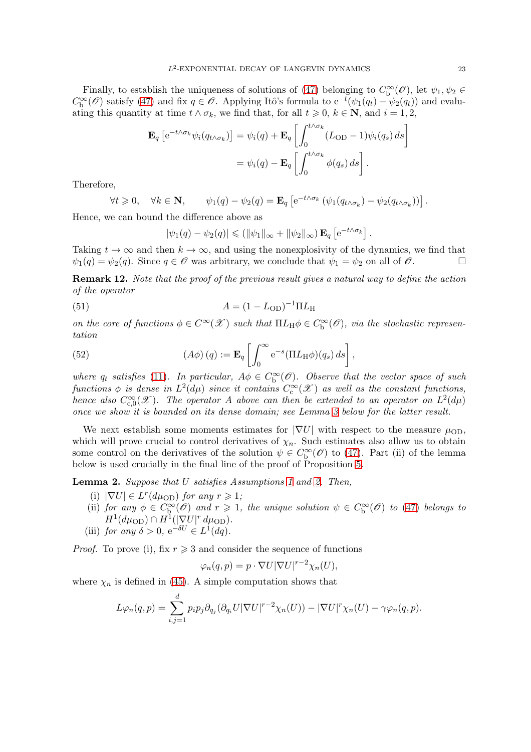Finally, to establish the uniqueness of solutions of [\(47\)](#page-20-2) belonging to  $C_b^{\infty}(\mathscr{O})$ , let  $\psi_1, \psi_2 \in$  $C_{\mathbf{b}}^{\infty}(\mathscr{O})$  satisfy [\(47\)](#page-20-2) and fix  $q \in \mathscr{O}$ . Applying Itô's formula to  $e^{-t}(\psi_1(q_t) - \psi_2(q_t))$  and evaluating this quantity at time  $t \wedge \sigma_k$ , we find that, for all  $t \geq 0$ ,  $k \in \mathbb{N}$ , and  $i = 1, 2$ ,

$$
\mathbf{E}_{q} \left[ e^{-t \wedge \sigma_{k}} \psi_{i} (q_{t \wedge \sigma_{k}}) \right] = \psi_{i}(q) + \mathbf{E}_{q} \left[ \int_{0}^{t \wedge \sigma_{k}} (L_{OD} - 1) \psi_{i} (q_{s}) ds \right]
$$

$$
= \psi_{i}(q) - \mathbf{E}_{q} \left[ \int_{0}^{t \wedge \sigma_{k}} \phi(q_{s}) ds \right].
$$

Therefore,

$$
\forall t \geq 0, \quad \forall k \in \mathbf{N}, \qquad \psi_1(q) - \psi_2(q) = \mathbf{E}_q \left[ e^{-t \wedge \sigma_k} \left( \psi_1(q_{t \wedge \sigma_k}) - \psi_2(q_{t \wedge \sigma_k}) \right) \right].
$$

Hence, we can bound the difference above as

$$
|\psi_1(q) - \psi_2(q)| \leq (||\psi_1||_{\infty} + ||\psi_2||_{\infty}) \mathbf{E}_q \left[ e^{-t \wedge \sigma_k} \right]
$$

.

Taking  $t \to \infty$  and then  $k \to \infty$ , and using the nonexplosivity of the dynamics, we find that  $\psi_1(q) = \psi_2(q)$ . Since  $q \in \mathcal{O}$  was arbitrary, we conclude that  $\psi_1 = \psi_2$  on all of  $\mathcal{O}$ .  $\psi_1(q) = \psi_2(q)$ . Since  $q \in \mathcal{O}$  was arbitrary, we conclude that  $\psi_1 = \psi_2$  on all of  $\mathcal{O}$ .

<span id="page-22-0"></span>Remark 12. Note that the proof of the previous result gives a natural way to define the action of the operator

(51) 
$$
A = (1 - L_{OD})^{-1} \Pi L_{H}
$$

on the core of functions  $\phi \in C^{\infty}(\mathscr{X})$  such that  $\Pi L_H \phi \in C^{\infty}_b(\mathscr{O})$ , via the stochastic representation

(52) 
$$
(A\phi)(q) := \mathbf{E}_q \left[ \int_0^\infty e^{-s} (\Pi L_H \phi)(q_s) ds \right],
$$

where  $q_t$  satisfies [\(11\)](#page-5-4). In particular,  $A\phi \in C_b^{\infty}(\mathscr{O})$ . Observe that the vector space of such functions  $\phi$  is dense in  $L^2(d\mu)$  since it contains  $C_{\rm c}^\infty({\mathscr X})$  as well as the constant functions, hence also  $C_{c,0}^{\infty}(\mathscr{X})$ . The operator A above can then be extended to an operator on  $L^2(d\mu)$ once we show it is bounded on its dense domain; see Lemma [3](#page-24-1) below for the latter result.

We next establish some moments estimates for  $|\nabla U|$  with respect to the measure  $\mu_{OD}$ , which will prove crucial to control derivatives of  $\chi_n$ . Such estimates also allow us to obtain some control on the derivatives of the solution  $\psi \in C^{\infty}_{\mathbf{b}}(\mathscr{O})$  to [\(47\)](#page-20-2). Part (ii) of the lemma below is used crucially in the final line of the proof of Proposition [5.](#page-26-0)

<span id="page-22-1"></span>Lemma 2. Suppose that U satisfies Assumptions [1](#page-2-1) and [2.](#page-3-0) Then,

- (i)  $|\nabla U| \in L^r(d\mu_{\text{OD}})$  for any  $r \geq 1$ ;
- (ii) for any  $\phi \in C^{\infty}_{b}(\mathscr{O})$  and  $r \geq 1$ , the unique solution  $\psi \in C^{\infty}_{b}(\mathscr{O})$  to [\(47\)](#page-20-2) belongs to  $H^1(d\mu_{\text{OD}}) \cap H^1(|\nabla U|^r d\mu_{\text{OD}}).$
- (iii) for any  $\delta > 0$ ,  $e^{-\delta U} \in L^1(dq)$ .

*Proof.* To prove (i), fix  $r \geqslant 3$  and consider the sequence of functions

$$
\varphi_n(q,p) = p \cdot \nabla U |\nabla U|^{r-2} \chi_n(U),
$$

where  $\chi_n$  is defined in [\(45\)](#page-20-3). A simple computation shows that

$$
L\varphi_n(q,p) = \sum_{i,j=1}^d p_i p_j \partial_{q_j} (\partial_{q_i} U |\nabla U|^{r-2} \chi_n(U)) - |\nabla U|^r \chi_n(U) - \gamma \varphi_n(q,p).
$$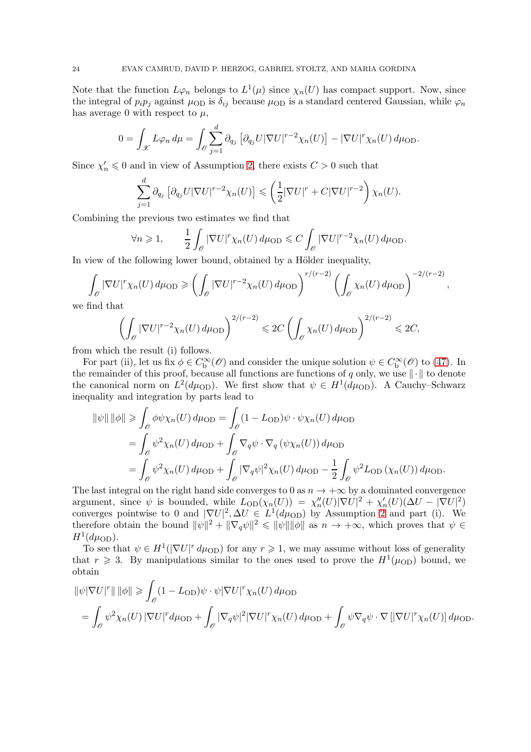Note that the function  $L\varphi_n$  belongs to  $L^1(\mu)$  since  $\chi_n(U)$  has compact support. Now, since the integral of  $p_i p_j$  against  $\mu_{OD}$  is  $\delta_{ij}$  because  $\mu_{OD}$  is a standard centered Gaussian, while  $\varphi_n$ has average 0 with respect to  $\mu$ ,

$$
0 = \int_{\mathscr{X}} L\varphi_n d\mu = \int_{\mathscr{O}} \sum_{j=1}^d \partial_{q_j} \left[ \partial_{q_j} U |\nabla U|^{r-2} \chi_n(U) \right] - |\nabla U|^r \chi_n(U) d\mu_{\text{OD}}.
$$

Since  $\chi'_n \leq 0$  and in view of Assumption [2,](#page-3-0) there exists  $C > 0$  such that

$$
\sum_{j=1}^d \partial_{q_j} \left[ \partial_{q_j} U |\nabla U|^{r-2} \chi_n(U) \right] \leq \left( \frac{1}{2} |\nabla U|^r + C |\nabla U|^{r-2} \right) \chi_n(U).
$$

Combining the previous two estimates we find that

$$
\forall n \geq 1, \qquad \frac{1}{2} \int_{\mathscr{O}} |\nabla U|^r \chi_n(U) d\mu_{\text{OD}} \leq C \int_{\mathscr{O}} |\nabla U|^{r-2} \chi_n(U) d\mu_{\text{OD}}.
$$

In view of the following lower bound, obtained by a Hölder inequality,

$$
\int_{\mathcal{O}} |\nabla U|^r \chi_n(U) d\mu_{\text{OD}} \geqslant \left( \int_{\mathcal{O}} |\nabla U|^{r-2} \chi_n(U) d\mu_{\text{OD}} \right)^{r/(r-2)} \left( \int_{\mathcal{O}} \chi_n(U) d\mu_{\text{OD}} \right)^{-2/(r-2)}
$$

,

we find that

$$
\left(\int_{\mathscr{O}} |\nabla U|^{r-2} \chi_n(U) d\mu_{\text{OD}}\right)^{2/(r-2)} \leq 2C \left(\int_{\mathscr{O}} \chi_n(U) d\mu_{\text{OD}}\right)^{2/(r-2)} \leq 2C,
$$

from which the result (i) follows.

For part (ii), let us fix  $\phi \in C_b^{\infty}(\mathscr{O})$  and consider the unique solution  $\psi \in C_b^{\infty}(\mathscr{O})$  to [\(47\)](#page-20-2). In the remainder of this proof, because all functions are functions of q only, we use  $\|\cdot\|$  to denote the canonical norm on  $L^2(d\mu_{\text{OD}})$ . We first show that  $\psi \in H^1(d\mu_{\text{OD}})$ . A Cauchy–Schwarz inequality and integration by parts lead to

$$
\|\psi\| \|\phi\| \ge \int_{\mathscr{O}} \phi \psi \chi_n(U) d\mu_{\text{OD}} = \int_{\mathscr{O}} (1 - L_{\text{OD}}) \psi \cdot \psi \chi_n(U) d\mu_{\text{OD}} \n= \int_{\mathscr{O}} \psi^2 \chi_n(U) d\mu_{\text{OD}} + \int_{\mathscr{O}} \nabla_q \psi \cdot \nabla_q (\psi \chi_n(U)) d\mu_{\text{OD}} \n= \int_{\mathscr{O}} \psi^2 \chi_n(U) d\mu_{\text{OD}} + \int_{\mathscr{O}} |\nabla_q \psi|^2 \chi_n(U) d\mu_{\text{OD}} - \frac{1}{2} \int_{\mathscr{O}} \psi^2 L_{\text{OD}} (\chi_n(U)) d\mu_{\text{OD}}.
$$

The last integral on the right hand side converges to 0 as  $n \to +\infty$  by a dominated convergence argument, since  $\psi$  is bounded, while  $L_{OD}(\chi_n(U)) = \chi''_n(U)|\nabla U|^2 + \chi'_n(U)(\Delta U - |\nabla U|^2)$ converges pointwise to 0 and  $|\nabla U|^2$ ,  $\Delta U \in L^1(d\mu_{\text{OD}})$  by Assumption [2](#page-3-0) and part (i). We therefore obtain the bound  $\|\psi\|^2 + \|\nabla_q \psi\|^2 \le \|\psi\| \|\phi\|$  as  $n \to +\infty$ , which proves that  $\psi \in$  $H^1(d\mu_{\text{OD}}).$ 

To see that  $\psi \in H^1(|\nabla U|^r d\mu_{\text{OD}})$  for any  $r \geq 1$ , we may assume without loss of generality that  $r \geq 3$ . By manipulations similar to the ones used to prove the  $H^1(\mu_{\text{OD}})$  bound, we obtain

$$
\|\psi|\nabla U|^r\| \|\phi\| \geq \int_{\mathscr{O}} (1 - L_{\text{OD}}) \psi \cdot \psi |\nabla U|^r \chi_n(U) d\mu_{\text{OD}} = \int_{\mathscr{O}} \psi^2 \chi_n(U) |\nabla U|^r d\mu_{\text{OD}} + \int_{\mathscr{O}} |\nabla_q \psi|^2 |\nabla U|^r \chi_n(U) d\mu_{\text{OD}} + \int_{\mathscr{O}} \psi \nabla_q \psi \cdot \nabla [|\nabla U|^r \chi_n(U)] d\mu_{\text{OD}}.
$$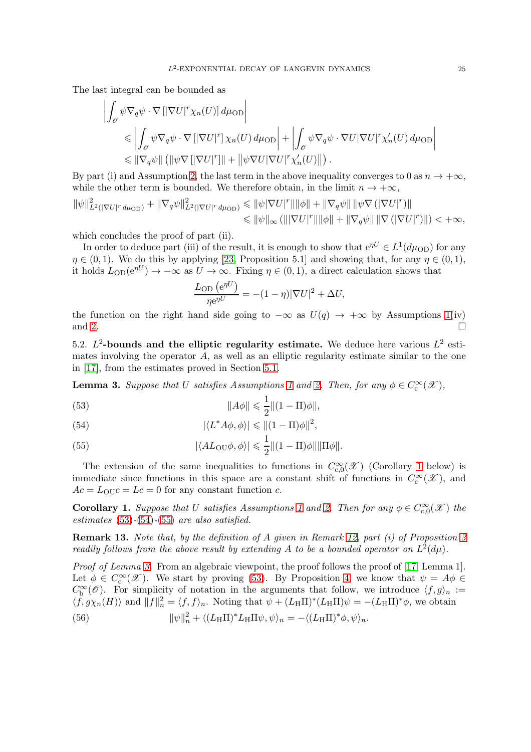The last integral can be bounded as

$$
\left| \int_{\mathscr{O}} \psi \nabla_{q} \psi \cdot \nabla \left[ \left| \nabla U \right|^{r} \chi_{n}(U) \right] d\mu_{\text{OD}} \right|
$$
  
\$\leqslant \left| \int\_{\mathscr{O}} \psi \nabla\_{q} \psi \cdot \nabla \left[ \left| \nabla U \right|^{r} \right] \chi\_{n}(U) d\mu\_{\text{OD}} \right| + \left| \int\_{\mathscr{O}} \psi \nabla\_{q} \psi \cdot \nabla U \left| \nabla U \right|^{r} \chi\_{n}'(U) d\mu\_{\text{OD}} \right|\$  
\$\leqslant \left\| \nabla\_{q} \psi \right\| \left( \left\| \psi \nabla \left[ \left| \nabla U \right|^{r} \right] \right\| + \left\| \psi \nabla U \left| \nabla U \right|^{r} \chi\_{n}'(U) \right\| \right).

By part (i) and Assumption [2,](#page-3-0) the last term in the above inequality converges to 0 as  $n \to +\infty$ , while the other term is bounded. We therefore obtain, in the limit  $n \to +\infty$ ,

$$
\begin{aligned} \|\psi\|_{L^2(|\nabla U|^r \, d\mu_{\text{OD}})}^2 + \|\nabla_q \psi\|_{L^2(|\nabla U|^r \, d\mu_{\text{OD}})}^2 &\leq \|\psi|\nabla U|^r \|\|\phi\| + \|\nabla_q \psi\| \, \|\psi\nabla \, (|\nabla U|^r) \| \\ &\leqslant \|\psi\|_{\infty} \, (\|\nabla U|^r \|\|\phi\| + \|\nabla_q \psi\| \, \|\nabla \, (|\nabla U|^r) \|) < +\infty, \end{aligned}
$$

which concludes the proof of part (ii).

In order to deduce part (iii) of the result, it is enough to show that  $e^{\eta U} \in L^1(d\mu_{\text{OD}})$  for any  $\eta \in (0,1)$ . We do this by applying [\[23,](#page-32-26) Proposition 5.1] and showing that, for any  $\eta \in (0,1)$ , it holds  $L_{OD}(e^{\eta U}) \to -\infty$  as  $U \to \infty$ . Fixing  $\eta \in (0,1)$ , a direct calculation shows that

$$
\frac{L_{\text{OD}}\left(e^{\eta U}\right)}{\eta e^{\eta U}} = -(1-\eta)|\nabla U|^2 + \Delta U,
$$

the function on the right hand side going to  $-\infty$  as  $U(q) \rightarrow +\infty$  by Assumptions [1\(](#page-2-1)iv) and 2. and [2.](#page-3-0)

<span id="page-24-0"></span>5.2.  $L^2$ -bounds and the elliptic regularity estimate. We deduce here various  $L^2$  estimates involving the operator A, as well as an elliptic regularity estimate similar to the one in [\[17\]](#page-32-12), from the estimates proved in Section [5.1.](#page-20-1)

<span id="page-24-1"></span>**Lemma 3.** Suppose that U satisfies Assumptions [1](#page-2-1) and [2.](#page-3-0) Then, for any  $\phi \in C_c^{\infty}(\mathcal{X})$ ,

<span id="page-24-3"></span>(53) 
$$
\|A\phi\| \leq \frac{1}{2} \|(1-\Pi)\phi\|,
$$

<span id="page-24-4"></span>(54) 
$$
|\langle L^* A\phi, \phi \rangle| \leq ||(1-\Pi)\phi||^2,
$$

<span id="page-24-5"></span>(55) 
$$
|\langle AL_{\text{OU}}\phi, \phi \rangle| \leq \frac{1}{2} ||(1-\Pi)\phi|| ||\Pi\phi||.
$$

The extension of the same inequalities to functions in  $C_{c,0}^{\infty}(\mathscr{X})$  (Corollary [1](#page-24-2) below) is immediate since functions in this space are a constant shift of functions in  $C_c^{\infty}(\mathscr{X})$ , and  $Ac = L_{\text{OU}}c = Lc = 0$  for any constant function c.

<span id="page-24-2"></span>**Corollary [1](#page-2-1).** Suppose that U satisfies Assumptions 1 and [2.](#page-3-0) Then for any  $\phi \in C_{c,0}^{\infty}(\mathcal{X})$  the estimates  $(53)-(54)-(55)$  $(53)-(54)-(55)$  $(53)-(54)-(55)$  $(53)-(54)-(55)$  $(53)-(54)-(55)$  are also satisfied.

Remark 13. Note that, by the definition of A given in Remark [12,](#page-22-0) part (i) of Proposition [3](#page-13-0) readily follows from the above result by extending A to be a bounded operator on  $L^2(d\mu)$ .

Proof of Lemma [3.](#page-24-1) From an algebraic viewpoint, the proof follows the proof of [\[17,](#page-32-12) Lemma 1]. Let  $\phi \in C_c^{\infty}(\mathscr{X})$ . We start by proving [\(53\)](#page-24-3). By Proposition [4,](#page-21-3) we know that  $\psi = A\phi \in C_c^{\infty}(\mathscr{X})$ .  $C_{\mathbf{b}}^{\infty}(\mathscr{O})$ . For simplicity of notation in the arguments that follow, we introduce  $\langle f, g \rangle_n :=$  $\langle f, g\chi_n(H) \rangle$  and  $||f||_n^2 = \langle f, f \rangle_n$ . Noting that  $\psi + (L_H \Pi)^*(L_H \Pi)\psi = -(L_H \Pi)^*\phi$ , we obtain (56)  $\|\psi\|_n^2 + \langle (L_H \Pi)^* L_H \Pi \psi, \psi \rangle_n = -\langle (L_H \Pi)^* \phi, \psi \rangle_n.$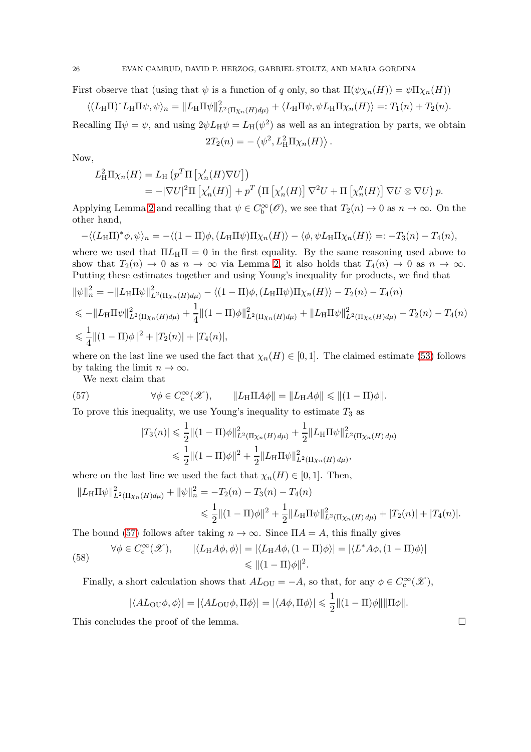First observe that (using that  $\psi$  is a function of q only, so that  $\Pi(\psi \chi_n(H)) = \psi \Pi \chi_n(H)$ )

$$
\langle (L_{\mathrm{H}}\Pi)^* L_{\mathrm{H}}\Pi\psi, \psi \rangle_n = \|L_{\mathrm{H}}\Pi\psi\|_{L^2(\Pi\chi_n(H)d\mu)}^2 + \langle L_{\mathrm{H}}\Pi\psi, \psi L_{\mathrm{H}}\Pi\chi_n(H) \rangle =: T_1(n) + T_2(n).
$$

Recalling  $\Pi \psi = \psi$ , and using  $2\psi L_H \psi = L_H(\psi^2)$  as well as an integration by parts, we obtain  $2T_2(n) = -\left\langle \psi^2, L_H^2 \Pi \chi_n(H) \right\rangle.$ 

Now,

$$
L_{\mathrm{H}}^{2} \Pi \chi_{n}(H) = L_{\mathrm{H}} \left( p^{T} \Pi \left[ \chi_{n}'(H) \nabla U \right] \right)
$$
  
= -|\nabla U|^{2} \Pi \left[ \chi\_{n}'(H) \right] + p^{T} \left( \Pi \left[ \chi\_{n}'(H) \right] \nabla^{2} U + \Pi \left[ \chi\_{n}''(H) \right] \nabla U \otimes \nabla U \right) p.

Applying Lemma [2](#page-22-1) and recalling that  $\psi \in C_b^{\infty}(\mathscr{O})$ , we see that  $T_2(n) \to 0$  as  $n \to \infty$ . On the other hand,

$$
-\langle (L_{\mathrm{H}}\Pi)^{*}\phi,\psi\rangle_{n}=-\langle (1-\Pi)\phi,(L_{\mathrm{H}}\Pi\psi)\Pi\chi_{n}(H)\rangle-\langle\phi,\psi L_{\mathrm{H}}\Pi\chi_{n}(H)\rangle=:-T_{3}(n)-T_{4}(n),
$$

where we used that  $\Pi L_{\text{H}}\Pi = 0$  in the first equality. By the same reasoning used above to show that  $T_2(n) \to 0$  as  $n \to \infty$  via Lemma [2,](#page-22-1) it also holds that  $T_4(n) \to 0$  as  $n \to \infty$ . Putting these estimates together and using Young's inequality for products, we find that

$$
\begin{split}\n\|\psi\|_{n}^{2} &= -\|L_{\mathrm{H}}\Pi\psi\|_{L^{2}(\Pi_{\chi_{n}}(H)d\mu)}^{2} - \langle(1-\Pi)\phi,(L_{\mathrm{H}}\Pi\psi)\Pi_{\chi_{n}}(H)\rangle - T_{2}(n) - T_{4}(n) \\
&\leq -\|L_{\mathrm{H}}\Pi\psi\|_{L^{2}(\Pi_{\chi_{n}}(H)d\mu)}^{2} + \frac{1}{4}\|(1-\Pi)\phi\|_{L^{2}(\Pi_{\chi_{n}}(H)d\mu)}^{2} + \|L_{\mathrm{H}}\Pi\psi\|_{L^{2}(\Pi_{\chi_{n}}(H)d\mu)}^{2} - T_{2}(n) - T_{4}(n) \\
&\leq \frac{1}{4}\|(1-\Pi)\phi\|^{2} + |T_{2}(n)| + |T_{4}(n)|,\n\end{split}
$$

where on the last line we used the fact that  $\chi_n(H) \in [0,1]$ . The claimed estimate [\(53\)](#page-24-3) follows by taking the limit  $n \to \infty$ .

We next claim that

<span id="page-25-0"></span>(57) 
$$
\forall \phi \in C_c^{\infty}(\mathscr{X}), \qquad \|L_H \Pi A \phi\| = \|L_H A \phi\| \le \| (1 - \Pi)\phi\|.
$$

To prove this inequality, we use Young's inequality to estimate  $T_3$  as

$$
|T_3(n)| \leq \frac{1}{2} \|(1-\Pi)\phi\|_{L^2(\Pi_{Xn}(H) d\mu)}^2 + \frac{1}{2} \|L_H \Pi \psi\|_{L^2(\Pi_{Xn}(H) d\mu)}^2
$$
  

$$
\leq \frac{1}{2} \|(1-\Pi)\phi\|^2 + \frac{1}{2} \|L_H \Pi \psi\|_{L^2(\Pi_{Xn}(H) d\mu)}^2,
$$

where on the last line we used the fact that  $\chi_n(H) \in [0,1]$ . Then,

$$
||L_H \Pi \psi||_{L^2(\Pi_{X^n}(H)d\mu)}^2 + ||\psi||_n^2 = -T_2(n) - T_3(n) - T_4(n)
$$
  

$$
\leq \frac{1}{2} ||(1-\Pi)\phi||^2 + \frac{1}{2} ||L_H \Pi \psi||_{L^2(\Pi_{X^n}(H)d\mu)}^2 + |T_2(n)| + |T_4(n)|.
$$

The bound [\(57\)](#page-25-0) follows after taking  $n \to \infty$ . Since  $\Pi A = A$ , this finally gives

(58) 
$$
\forall \phi \in C_c^{\infty}(\mathcal{X}), \qquad |\langle L_H A \phi, \phi \rangle| = |\langle L_H A \phi, (1 - \Pi) \phi \rangle| = |\langle L^* A \phi, (1 - \Pi) \phi \rangle|
$$

$$
\leq ||(1 - \Pi)\phi||^2.
$$

Finally, a short calculation shows that  $AL_{OU} = -A$ , so that, for any  $\phi \in C_c^{\infty}(\mathcal{X})$ ,

$$
|\langle AL_{\text{OU}}\phi, \phi \rangle| = |\langle AL_{\text{OU}}\phi, \Pi\phi \rangle| = |\langle A\phi, \Pi\phi \rangle| \leq \frac{1}{2} ||(1-\Pi)\phi|| ||\Pi\phi||.
$$

This concludes the proof of the lemma.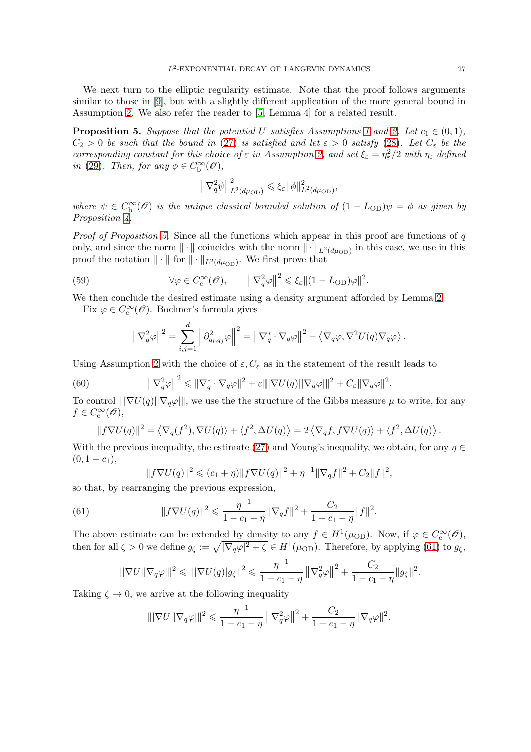We next turn to the elliptic regularity estimate. Note that the proof follows arguments similar to those in [\[9\]](#page-31-8), but with a slightly different application of the more general bound in Assumption [2.](#page-3-0) We also refer the reader to [\[5,](#page-31-12) Lemma 4] for a related result.

<span id="page-26-0"></span>**Proposition 5.** Suppose that the potential U satisfies Assumptions [1](#page-2-1) and [2.](#page-3-0) Let  $c_1 \in (0,1)$ ,  $C_2 > 0$  be such that the bound in [\(27\)](#page-13-2) is satisfied and let  $\varepsilon > 0$  satisfy [\(28\)](#page-13-3). Let  $C_{\varepsilon}$  be the corresponding constant for this choice of  $\varepsilon$  in Assumption [2,](#page-3-0) and set  $\xi_{\varepsilon} = \eta_{\varepsilon}^2/2$  with  $\eta_{\varepsilon}$  defined in [\(29\)](#page-13-1). Then, for any  $\phi \in C_{\text{b}}^{\infty}(\mathscr{O}),$ 

$$
\left\|\nabla_q^2\psi\right\|_{L^2(d\mu_{\text{OD}})}^2 \leq \xi_{\varepsilon}\|\phi\|_{L^2(d\mu_{\text{OD}})}^2,
$$

where  $\psi \in C^{\infty}_b(\mathscr{O})$  is the unique classical bounded solution of  $(1 - L_{OD})\psi = \phi$  as given by Proposition  $\lambda$ .

*Proof of Proposition [5.](#page-26-0)* Since all the functions which appear in this proof are functions of  $q$ only, and since the norm  $\|\cdot\|$  coincides with the norm  $\|\cdot\|_{L^2(d\mu_{\text{OD}})}$  in this case, we use in this proof the notation  $\|\cdot\|$  for  $\|\cdot\|_{L^2(d\mu_{\text{OD}})}$ . We first prove that

(59) 
$$
\forall \varphi \in C_c^{\infty}(\mathscr{O}), \qquad \left\|\nabla_q^2 \varphi\right\|^2 \leqslant \xi_{\varepsilon} \|(1 - L_{OD})\varphi\|^2.
$$

We then conclude the desired estimate using a density argument afforded by Lemma [2.](#page-22-1)

Fix  $\varphi \in C_{\text{c}}^{\infty}(\mathscr{O})$ . Bochner's formula gives

<span id="page-26-3"></span><span id="page-26-2"></span>
$$
\left\|\nabla_q^2\varphi\right\|^2 = \sum_{i,j=1}^d \left\|\partial_{q_i,q_j}^2\varphi\right\|^2 = \left\|\nabla_q^*\cdot\nabla_q\varphi\right\|^2 - \left\langle\nabla_q\varphi,\nabla^2U(q)\nabla_q\varphi\right\rangle.
$$

Using Assumption [2](#page-3-0) with the choice of  $\varepsilon, C_{\varepsilon}$  as in the statement of the result leads to

(60) 
$$
\|\nabla_q^2 \varphi\|^2 \le \|\nabla_q^* \cdot \nabla_q \varphi\|^2 + \varepsilon \|\nabla U(q)\| \nabla_q \varphi\|^2 + C_{\varepsilon} \|\nabla_q \varphi\|^2
$$

To control  $\|\nabla U(q)\|\nabla_q\varphi\|$ , we use the the structure of the Gibbs measure  $\mu$  to write, for any  $f \in C_{\rm c}^{\infty}(\mathscr{O}),$ 

.

$$
||f\nabla U(q)||^2 = \langle \nabla_q(f^2), \nabla U(q) \rangle + \langle f^2, \Delta U(q) \rangle = 2 \langle \nabla_q f, f\nabla U(q) \rangle + \langle f^2, \Delta U(q) \rangle.
$$

With the previous inequality, the estimate [\(27\)](#page-13-2) and Young's inequality, we obtain, for any  $\eta \in$  $(0, 1 - c_1),$ 

$$
||f\nabla U(q)||^2 \leq (c_1 + \eta) ||f\nabla U(q)||^2 + \eta^{-1} ||\nabla_q f||^2 + C_2 ||f||^2,
$$

so that, by rearranging the previous expression,

<span id="page-26-1"></span>(61) 
$$
||f \nabla U(q)||^2 \leq \frac{\eta^{-1}}{1 - c_1 - \eta} ||\nabla_q f||^2 + \frac{C_2}{1 - c_1 - \eta} ||f||^2.
$$

The above estimate can be extended by density to any  $f \in H^1(\mu_{\text{OD}})$ . Now, if  $\varphi \in C_c^{\infty}(\mathscr{O})$ , then for all  $\zeta > 0$  we define  $g_{\zeta} := \sqrt{|\nabla_q \varphi|^2 + \zeta} \in H^1(\mu_{\text{OD}})$ . Therefore, by applying [\(61\)](#page-26-1) to  $g_{\zeta}$ ,

$$
\|\nabla U\|\nabla_q \varphi\|^2 \le \|\nabla U(q)|g_{\zeta}\|^2 \le \frac{\eta^{-1}}{1-c_1-\eta} \left\|\nabla_q^2 \varphi\right\|^2 + \frac{C_2}{1-c_1-\eta} \|g_{\zeta}\|^2.
$$

Taking  $\zeta \to 0$ , we arrive at the following inequality

$$
\|\nabla U\|\nabla_q \varphi\|^2 \leq \frac{\eta^{-1}}{1-c_1-\eta} \left\|\nabla_q^2 \varphi\right\|^2 + \frac{C_2}{1-c_1-\eta} \|\nabla_q \varphi\|^2.
$$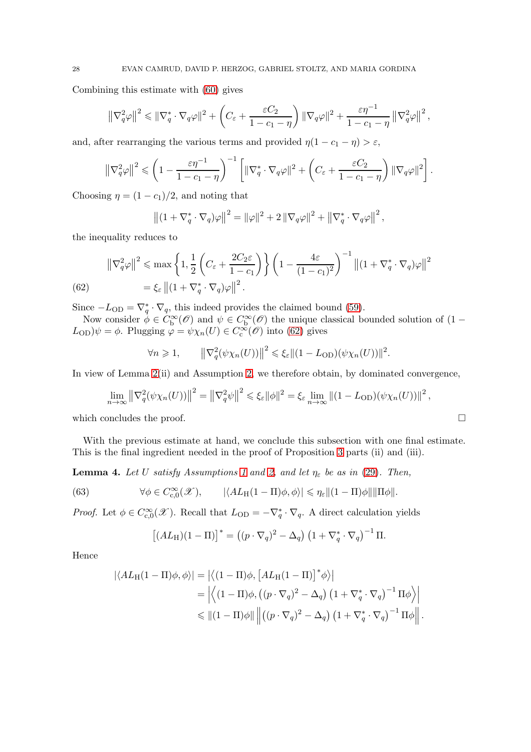Combining this estimate with [\(60\)](#page-26-2) gives

$$
\left\|\nabla_q^2\varphi\right\|^2 \leq \left\|\nabla_q^* \cdot \nabla_q \varphi\right\|^2 + \left(C_{\varepsilon} + \frac{\varepsilon C_2}{1 - c_1 - \eta}\right) \left\|\nabla_q \varphi\right\|^2 + \frac{\varepsilon \eta^{-1}}{1 - c_1 - \eta} \left\|\nabla_q^2 \varphi\right\|^2,
$$

and, after rearranging the various terms and provided  $\eta(1 - c_1 - \eta) > \varepsilon$ ,

$$
\left\|\nabla_q^2\varphi\right\|^2 \leqslant \left(1 - \frac{\varepsilon\eta^{-1}}{1 - c_1 - \eta}\right)^{-1} \left[\|\nabla_q^* \cdot \nabla_q \varphi\|^2 + \left(C_\varepsilon + \frac{\varepsilon C_2}{1 - c_1 - \eta}\right) \|\nabla_q \varphi\|^2\right].
$$

Choosing  $\eta = (1 - c_1)/2$ , and noting that

$$
\left\| (1 + \nabla_q^* \cdot \nabla_q) \varphi \right\|^2 = \|\varphi\|^2 + 2 \|\nabla_q \varphi\|^2 + \left\| \nabla_q^* \cdot \nabla_q \varphi \right\|^2,
$$

the inequality reduces to

(62) 
$$
\|\nabla_q^2 \varphi\|^2 \le \max \left\{ 1, \frac{1}{2} \left( C_{\varepsilon} + \frac{2C_2 \varepsilon}{1 - c_1} \right) \right\} \left( 1 - \frac{4\varepsilon}{(1 - c_1)^2} \right)^{-1} \left\| (1 + \nabla_q^* \cdot \nabla_q) \varphi \right\|^2
$$

$$
= \xi_{\varepsilon} \left\| (1 + \nabla_q^* \cdot \nabla_q) \varphi \right\|^2.
$$

<span id="page-27-0"></span>Since  $-L_{OD} = \nabla_q^* \cdot \nabla_q$ , this indeed provides the claimed bound [\(59\)](#page-26-3).

Now consider  $\phi \in C_{\rm b}^{\infty}(\mathscr{O})$  and  $\psi \in C_{\rm b}^{\infty}(\mathscr{O})$  the unique classical bounded solution of  $(1 (L_{\text{OD}})\psi = \phi$ . Plugging  $\varphi = \psi \chi_n(U) \in C_{\text{c}}^{\infty}(\mathscr{O})$  into [\(62\)](#page-27-0) gives

$$
\forall n \geqslant 1, \qquad \left\| \nabla_q^2(\psi \chi_n(U)) \right\|^2 \leqslant \xi_{\varepsilon} \|(1 - L_{\text{OD}})(\psi \chi_n(U))\|^2.
$$

In view of Lemma [2\(](#page-22-1)ii) and Assumption [2,](#page-3-0) we therefore obtain, by dominated convergence,

$$
\lim_{n \to \infty} \left\| \nabla_q^2(\psi \chi_n(U)) \right\|^2 = \left\| \nabla_q^2 \psi \right\|^2 \leq \xi_{\varepsilon} \|\phi\|^2 = \xi_{\varepsilon} \lim_{n \to \infty} \left\| (1 - L_{\text{OD}})(\psi \chi_n(U)) \right\|^2,
$$

which concludes the proof.  $\Box$ 

With the previous estimate at hand, we conclude this subsection with one final estimate. This is the final ingredient needed in the proof of Proposition [3](#page-13-0) parts (ii) and (iii).

<span id="page-27-1"></span>**Lemma 4.** Let U satisfy Assumptions [1](#page-2-1) and [2,](#page-3-0) and let  $\eta_{\varepsilon}$  be as in [\(29\)](#page-13-1). Then,

(63) 
$$
\forall \phi \in C_{c,0}^{\infty}(\mathscr{X}), \qquad |\langle AL_H(1-\Pi)\phi, \phi \rangle| \leq \eta_{\varepsilon} \|(1-\Pi)\phi\| \|\Pi\phi\|.
$$

*Proof.* Let  $\phi \in C_{c,0}^{\infty}(\mathscr{X})$ . Recall that  $L_{OD} = -\nabla_q^* \cdot \nabla_q$ . A direct calculation yields

$$
[(AL_H)(1 - \Pi)]^* = ((p \cdot \nabla_q)^2 - \Delta_q) (1 + \nabla_q^* \cdot \nabla_q)^{-1} \Pi.
$$

Hence

$$
\begin{split} |\langle AL_{\mathrm{H}}(1-\Pi)\phi,\phi\rangle| &= \left| \left\langle (1-\Pi)\phi,\left[ AL_{\mathrm{H}}(1-\Pi)\right]^{*}\phi\right\rangle \right| \\ &= \left| \left\langle (1-\Pi)\phi,\left( (p\cdot\nabla_{q})^{2}-\Delta_{q} \right)\left( 1+\nabla_{q}^{*}\cdot\nabla_{q} \right)^{-1}\Pi\phi\right\rangle \right| \\ &\leqslant \left\| (1-\Pi)\phi\right\| \left\| \left( (p\cdot\nabla_{q})^{2}-\Delta_{q} \right)\left( 1+\nabla_{q}^{*}\cdot\nabla_{q} \right)^{-1}\Pi\phi\right\| . \end{split}
$$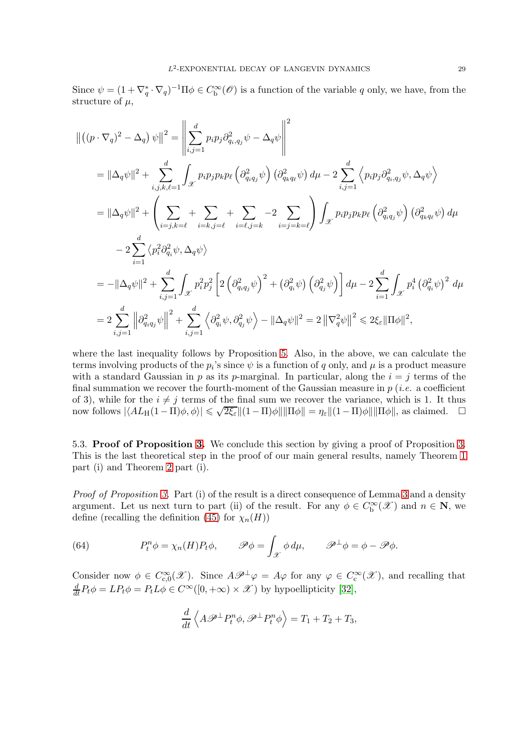Since  $\psi = (1 + \nabla_q^* \cdot \nabla_q)^{-1} \Pi \phi \in C_b^{\infty}(\mathscr{O})$  is a function of the variable q only, we have, from the structure of  $\mu$ ,

$$
\begin{split}\n\| \left( (p \cdot \nabla_q)^2 - \Delta_q \right) \psi \|^2 &= \left\| \sum_{i,j=1}^d p_i p_j \partial_{q_i,q_j}^2 \psi - \Delta_q \psi \right\|^2 \\
&= \|\Delta_q \psi\|^2 + \sum_{i,j,k,\ell=1}^d \int_{\mathcal{X}} p_i p_j p_k p_\ell \left( \partial_{q_i q_j}^2 \psi \right) \left( \partial_{q_k q_\ell}^2 \psi \right) d\mu - 2 \sum_{i,j=1}^d \left\langle p_i p_j \partial_{q_i,q_j}^2 \psi, \Delta_q \psi \right\rangle \\
&= \|\Delta_q \psi\|^2 + \left( \sum_{i=j,k=\ell} + \sum_{i=k,j=\ell} + \sum_{i=\ell,j=k} -2 \sum_{i=j=k=\ell} \right) \int_{\mathcal{X}} p_i p_j p_k p_\ell \left( \partial_{q_i q_j}^2 \psi \right) \left( \partial_{q_k q_\ell}^2 \psi \right) d\mu \\
&- 2 \sum_{i=1}^d \left\langle p_i^2 \partial_{q_i}^2 \psi, \Delta_q \psi \right\rangle \\
&= -\|\Delta_q \psi\|^2 + \sum_{i,j=1}^d \int_{\mathcal{X}} p_i^2 p_j^2 \left[ 2 \left( \partial_{q_i q_j}^2 \psi \right)^2 + \left( \partial_{q_i}^2 \psi \right) \left( \partial_{q_j}^2 \psi \right) \right] d\mu - 2 \sum_{i=1}^d \int_{\mathcal{X}} p_i^4 \left( \partial_{q_i}^2 \psi \right)^2 d\mu \\
&= 2 \sum_{i,j=1}^d \left\| \partial_{q_i q_j}^2 \psi \right\|^2 + \sum_{i,j=1}^d \left\langle \partial_{q_i}^2 \psi, \partial_{q_j}^2 \psi \right\rangle - \|\Delta_q \psi\|^2 = 2 \left\| \nabla_q^2 \psi \right\|^2 \leq 2 \xi_{\varepsilon} \|\Pi \phi\|^2, \n\end{split}
$$

where the last inequality follows by Proposition [5.](#page-26-0) Also, in the above, we can calculate the terms involving products of the  $p_i$ 's since  $\psi$  is a function of  $q$  only, and  $\mu$  is a product measure with a standard Gaussian in p as its p-marginal. In particular, along the  $i = j$  terms of the final summation we recover the fourth-moment of the Gaussian measure in  $p$  (*i.e.* a coefficient of 3), while for the  $i \neq j$  terms of the final sum we recover the variance, which is 1. It thus now follows  $|\langle AL_H(1-\Pi)\phi, \phi \rangle| \leq \sqrt{2\xi_{\varepsilon}} \|(1-\Pi)\phi\| \|\Pi\phi\| = \eta_{\varepsilon} \|(1-\Pi)\phi\| \|\Pi\phi\|$ , as claimed.  $\square$ 

<span id="page-28-0"></span>5.3. Proof of Proposition [3.](#page-13-0) We conclude this section by giving a proof of Proposition [3.](#page-13-0) This is the last theoretical step in the proof of our main general results, namely Theorem [1](#page-7-2) part (i) and Theorem [2](#page-7-0) part (i).

Proof of Proposition [3.](#page-13-0) Part (i) of the result is a direct consequence of Lemma [3](#page-24-1) and a density argument. Let us next turn to part (ii) of the result. For any  $\phi \in C_b^{\infty}(\mathcal{X})$  and  $n \in \mathbb{N}$ , we define (recalling the definition [\(45\)](#page-20-3) for  $\chi_n(H)$ )

(64) 
$$
P_t^n \phi = \chi_n(H) P_t \phi, \qquad \mathscr{P} \phi = \int_{\mathscr{X}} \phi \, d\mu, \qquad \mathscr{P}^\perp \phi = \phi - \mathscr{P} \phi.
$$

Consider now  $\phi \in C_{c,0}^{\infty}(\mathscr{X})$ . Since  $A\mathscr{P}^{\perp}\varphi = A\varphi$  for any  $\varphi \in C_{c}^{\infty}(\mathscr{X})$ , and recalling that  $\frac{d}{dt}P_t\phi = LP_t\phi = P_tL\phi \in C^{\infty}([0, +\infty) \times \mathcal{X})$  by hypoellipticity [\[32\]](#page-32-23),

$$
\frac{d}{dt}\left\langle A\mathscr{P}^{\perp}P_{t}^{n}\phi,\mathscr{P}^{\perp}P_{t}^{n}\phi\right\rangle =T_{1}+T_{2}+T_{3},
$$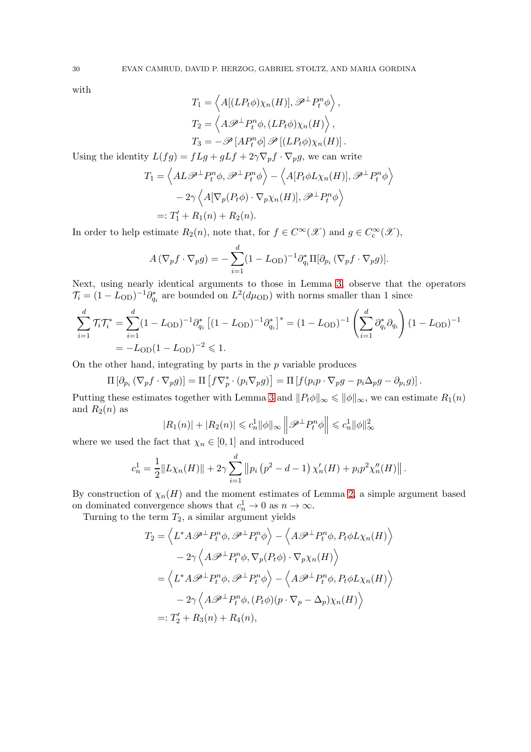with

$$
T_1 = \left\langle A[(LP_t \phi)\chi_n(H)], \mathscr{P}^\perp P_t^n \phi \right\rangle,
$$
  
\n
$$
T_2 = \left\langle A \mathscr{P}^\perp P_t^n \phi, (LP_t \phi)\chi_n(H) \right\rangle,
$$
  
\n
$$
T_3 = -\mathscr{P}[AP_t^n \phi] \mathscr{P}[(LP_t \phi)\chi_n(H)].
$$

Using the identity  $L(fg) = fLg + gLf + 2\gamma \nabla_p f \cdot \nabla_p g$ , we can write

$$
T_1 = \left\langle AL\mathscr{P}^\perp P_t^n \phi, \mathscr{P}^\perp P_t^n \phi \right\rangle - \left\langle A[P_t \phi L \chi_n(H)], \mathscr{P}^\perp P_t^n \phi \right\rangle
$$

$$
- 2\gamma \left\langle A[\nabla_p(P_t \phi) \cdot \nabla_p \chi_n(H)], \mathscr{P}^\perp P_t^n \phi \right\rangle
$$

$$
=: T_1' + R_1(n) + R_2(n).
$$

In order to help estimate  $R_2(n)$ , note that, for  $f \in C^{\infty}(\mathscr{X})$  and  $g \in C^{\infty}_{c}(\mathscr{X})$ ,

$$
A(\nabla_p f \cdot \nabla_p g) = -\sum_{i=1}^d (1 - L_{\text{OD}})^{-1} \partial_{q_i}^* \Pi[\partial_{p_i} (\nabla_p f \cdot \nabla_p g)].
$$

Next, using nearly identical arguments to those in Lemma [3,](#page-24-1) observe that the operators  $\mathcal{T}_i = (1 - L_{OD})^{-1} \partial_{q_i}^*$  are bounded on  $L^2(d\mu_{OD})$  with norms smaller than 1 since

$$
\sum_{i=1}^{d} \mathcal{T}_{i} \mathcal{T}_{i}^{*} = \sum_{i=1}^{d} (1 - L_{OD})^{-1} \partial_{q_{i}}^{*} \left[ (1 - L_{OD})^{-1} \partial_{q_{i}}^{*} \right]^{*} = (1 - L_{OD})^{-1} \left( \sum_{i=1}^{d} \partial_{q_{i}}^{*} \partial_{q_{i}} \right) (1 - L_{OD})^{-1}
$$
  
=  $-L_{OD} (1 - L_{OD})^{-2} \leq 1.$ 

On the other hand, integrating by parts in the  $p$  variable produces

$$
\Pi\left[\partial_{p_i}\left(\nabla_p f\cdot\nabla_p g\right)\right]=\Pi\left[f\nabla_p^*\cdot\left(p_i\nabla_p g\right)\right]=\Pi\left[f(p_ip\cdot\nabla_p g-p_i\Delta_p g-\partial_{p_i}g)\right].
$$

Putting these estimates together with Lemma [3](#page-24-1) and  $||P_t\phi||_{\infty} \le ||\phi||_{\infty}$ , we can estimate  $R_1(n)$ and  $R_2(n)$  as

$$
|R_1(n)| + |R_2(n)| \leq c_n^1 \|\phi\|_{\infty} \left\| \mathcal{P}^\perp P_t^n \phi \right\| \leq c_n^1 \|\phi\|_{\infty}^2
$$

where we used the fact that  $\chi_n \in [0,1]$  and introduced

$$
c_n^1 = \frac{1}{2} ||L\chi_n(H)|| + 2\gamma \sum_{i=1}^d ||p_i (p^2 - d - 1) \chi'_n(H) + p_i p^2 \chi''_n(H)||.
$$

By construction of  $\chi_n(H)$  and the moment estimates of Lemma [2,](#page-22-1) a simple argument based on dominated convergence shows that  $c_n^1 \to 0$  as  $n \to \infty$ .

Turning to the term  $T_2$ , a similar argument yields

$$
T_2 = \langle L^* A \mathscr{P}^\perp P_t^n \phi, \mathscr{P}^\perp P_t^n \phi \rangle - \langle A \mathscr{P}^\perp P_t^n \phi, P_t \phi L \chi_n(H) \rangle
$$
  
\n
$$
- 2\gamma \langle A \mathscr{P}^\perp P_t^n \phi, \nabla_p (P_t \phi) \cdot \nabla_p \chi_n(H) \rangle
$$
  
\n
$$
= \langle L^* A \mathscr{P}^\perp P_t^n \phi, \mathscr{P}^\perp P_t^n \phi \rangle - \langle A \mathscr{P}^\perp P_t^n \phi, P_t \phi L \chi_n(H) \rangle
$$
  
\n
$$
- 2\gamma \langle A \mathscr{P}^\perp P_t^n \phi, (P_t \phi)(p \cdot \nabla_p - \Delta_p) \chi_n(H) \rangle
$$
  
\n
$$
=: T_2' + R_3(n) + R_4(n),
$$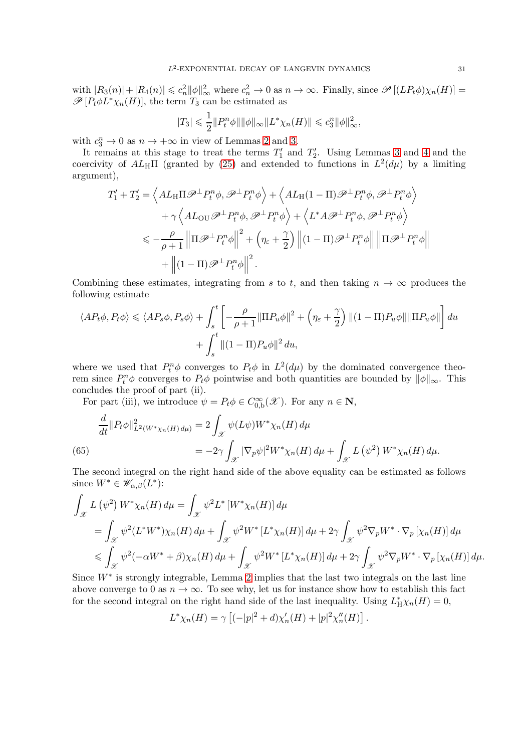with  $|R_3(n)|+|R_4(n)| \leq c_n^2 ||\phi||_\infty^2$  where  $c_n^2 \to 0$  as  $n \to \infty$ . Finally, since  $\mathscr{P}[(LP_t\phi)\chi_n(H)] =$  $\mathscr{P}[P_t\phi L^*\chi_n(H)]$ , the term  $T_3$  can be estimated as

$$
|T_3| \leq \frac{1}{2} ||P_t^n \phi|| ||\phi||_{\infty} ||L^* \chi_n(H)|| \leq c_3^n ||\phi||_{\infty}^2,
$$

with  $c_3^n \to 0$  as  $n \to +\infty$  in view of Lemmas [2](#page-22-1) and [3.](#page-24-1)

It remains at this stage to treat the terms  $T_1'$  and  $T_2'$ . Using Lemmas [3](#page-24-1) and [4](#page-27-1) and the coercivity of  $AL_H\Pi$  (granted by [\(25\)](#page-11-1) and extended to functions in  $L^2(d\mu)$  by a limiting argument),

$$
T'_1 + T'_2 = \left\langle AL_H \Pi \mathscr{P}^\perp P_t^n \phi, \mathscr{P}^\perp P_t^n \phi \right\rangle + \left\langle AL_H (1 - \Pi) \mathscr{P}^\perp P_t^n \phi, \mathscr{P}^\perp P_t^n \phi \right\rangle + \gamma \left\langle AL_{\text{OU}} \mathscr{P}^\perp P_t^n \phi, \mathscr{P}^\perp P_t^n \phi \right\rangle + \left\langle L^* A \mathscr{P}^\perp P_t^n \phi, \mathscr{P}^\perp P_t^n \phi \right\rangle \n\leq -\frac{\rho}{\rho + 1} \left\| \Pi \mathscr{P}^\perp P_t^n \phi \right\|^2 + \left( \eta_\varepsilon + \frac{\gamma}{2} \right) \left\| (1 - \Pi) \mathscr{P}^\perp P_t^n \phi \right\| \left\| \Pi \mathscr{P}^\perp P_t^n \phi \right\| + \left\| (1 - \Pi) \mathscr{P}^\perp P_t^n \phi \right\|^2.
$$

Combining these estimates, integrating from s to t, and then taking  $n \to \infty$  produces the following estimate

$$
\langle AP_t \phi, P_t \phi \rangle \le \langle AP_s \phi, P_s \phi \rangle + \int_s^t \left[ -\frac{\rho}{\rho + 1} ||\Pi P_u \phi||^2 + \left( \eta_\varepsilon + \frac{\gamma}{2} \right) ||(1 - \Pi) P_u \phi|| ||\Pi P_u \phi|| \right] du + \int_s^t ||(1 - \Pi) P_u \phi||^2 du,
$$

where we used that  $P_t^n \phi$  converges to  $P_t \phi$  in  $L^2(d\mu)$  by the dominated convergence theorem since  $P_t^n \phi$  converges to  $P_t \phi$  pointwise and both quantities are bounded by  $\|\phi\|_{\infty}$ . This concludes the proof of part (ii).

For part (iii), we introduce  $\psi = P_t \phi \in C_{0,b}^{\infty}(\mathscr{X})$ . For any  $n \in \mathbb{N}$ ,

$$
\frac{d}{dt} \| P_t \phi \|_{L^2(W^* \chi_n(H) d\mu)}^2 = 2 \int_{\mathcal{X}} \psi(L\psi) W^* \chi_n(H) d\mu \n= -2\gamma \int_{\mathcal{X}} |\nabla_p \psi|^2 W^* \chi_n(H) d\mu + \int_{\mathcal{X}} L(\psi^2) W^* \chi_n(H) d\mu.
$$
\n(65)

<span id="page-30-0"></span>The second integral on the right hand side of the above equality can be estimated as follows since  $W^* \in \mathscr{W}_{\alpha,\beta}(L^*)$ :

$$
\int_{\mathcal{X}} L(\psi^2) W^* \chi_n(H) d\mu = \int_{\mathcal{X}} \psi^2 L^* [W^* \chi_n(H)] d\mu
$$
  
=  $\int_{\mathcal{X}} \psi^2 (L^* W^*) \chi_n(H) d\mu + \int_{\mathcal{X}} \psi^2 W^* [L^* \chi_n(H)] d\mu + 2\gamma \int_{\mathcal{X}} \psi^2 \nabla_p W^* \cdot \nabla_p [\chi_n(H)] d\mu$   
 $\leqslant \int_{\mathcal{X}} \psi^2 (-\alpha W^* + \beta) \chi_n(H) d\mu + \int_{\mathcal{X}} \psi^2 W^* [L^* \chi_n(H)] d\mu + 2\gamma \int_{\mathcal{X}} \psi^2 \nabla_p W^* \cdot \nabla_p [\chi_n(H)] d\mu.$ 

Since  $W^*$  is strongly integrable, Lemma [2](#page-22-1) implies that the last two integrals on the last line above converge to 0 as  $n \to \infty$ . To see why, let us for instance show how to establish this fact for the second integral on the right hand side of the last inequality. Using  $L_{\rm H}^* \chi_n(H) = 0$ ,

$$
L^*\chi_n(H) = \gamma \left[ (-|p|^2 + d)\chi'_n(H) + |p|^2 \chi''_n(H) \right].
$$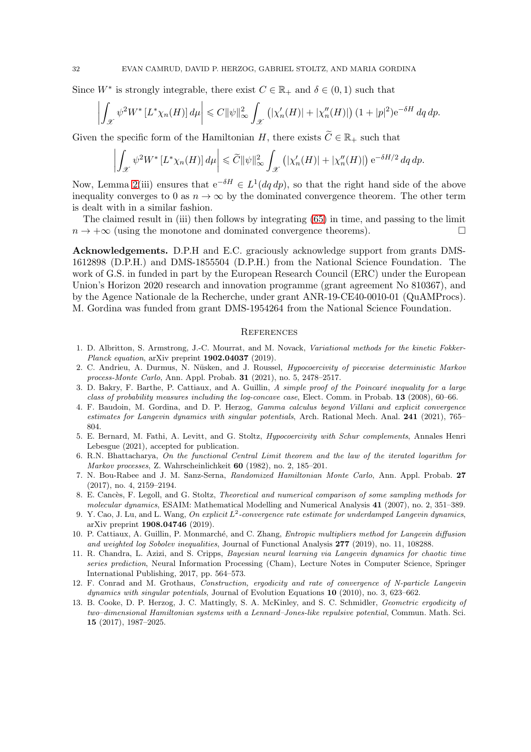Since  $W^*$  is strongly integrable, there exist  $C \in \mathbb{R}_+$  and  $\delta \in (0,1)$  such that

$$
\left| \int_{\mathcal{X}} \psi^2 W^* \left[ L^* \chi_n(H) \right] d\mu \right| \leq C \|\psi\|_{\infty}^2 \int_{\mathcal{X}} \left( |\chi_n'(H)| + |\chi_n''(H)| \right) (1+|p|^2) e^{-\delta H} dq dp.
$$

Given the specific form of the Hamiltonian H, there exists  $\widetilde{C} \in \mathbb{R}_+$  such that

$$
\left| \int_{\mathcal{X}} \psi^2 W^* \left[ L^* \chi_n(H) \right] d\mu \right| \leqslant \widetilde{C} ||\psi||^2_{\infty} \int_{\mathcal{X}} \left( |\chi_n'(H)| + |\chi_n''(H)| \right) e^{-\delta H/2} dq dp.
$$

Now, Lemma [2\(](#page-22-1)iii) ensures that  $e^{-\delta H} \in L^1(dq \, dp)$ , so that the right hand side of the above inequality converges to 0 as  $n \to \infty$  by the dominated convergence theorem. The other term is dealt with in a similar fashion.

The claimed result in (iii) then follows by integrating [\(65\)](#page-30-0) in time, and passing to the limit  $n \to +\infty$  (using the monotone and dominated convergence theorems).

Acknowledgements. D.P.H and E.C. graciously acknowledge support from grants DMS-1612898 (D.P.H.) and DMS-1855504 (D.P.H.) from the National Science Foundation. The work of G.S. in funded in part by the European Research Council (ERC) under the European Union's Horizon 2020 research and innovation programme (grant agreement No 810367), and by the Agence Nationale de la Recherche, under grant ANR-19-CE40-0010-01 (QuAMProcs). M. Gordina was funded from grant DMS-1954264 from the National Science Foundation.

#### **REFERENCES**

- <span id="page-31-7"></span>1. D. Albritton, S. Armstrong, J.-C. Mourrat, and M. Novack, Variational methods for the kinetic Fokker-Planck equation, arXiv preprint 1902.04037 (2019).
- <span id="page-31-10"></span>2. C. Andrieu, A. Durmus, N. Nüsken, and J. Roussel, Hypocoercivity of piecewise deterministic Markov process-Monte Carlo, Ann. Appl. Probab. 31 (2021), no. 5, 2478–2517.
- <span id="page-31-9"></span>3. D. Bakry, F. Barthe, P. Cattiaux, and A. Guillin, A simple proof of the Poincaré inequality for a large class of probability measures including the log-concave case, Elect. Comm. in Probab. 13 (2008), 60–66.
- <span id="page-31-5"></span>4. F. Baudoin, M. Gordina, and D. P. Herzog, Gamma calculus beyond Villani and explicit convergence estimates for Langevin dynamics with singular potentials, Arch. Rational Mech. Anal. 241 (2021), 765– 804.
- <span id="page-31-12"></span>5. E. Bernard, M. Fathi, A. Levitt, and G. Stoltz, Hypocoercivity with Schur complements, Annales Henri Lebesgue (2021), accepted for publication.
- <span id="page-31-2"></span>6. R.N. Bhattacharya, On the functional Central Limit theorem and the law of the iterated logarithm for Markov processes, Z. Wahrscheinlichkeit 60 (1982), no. 2, 185–201.
- <span id="page-31-11"></span>7. N. Bou-Rabee and J. M. Sanz-Serna, Randomized Hamiltonian Monte Carlo, Ann. Appl. Probab. 27 (2017), no. 4, 2159–2194.
- <span id="page-31-0"></span>8. E. Cancès, F. Legoll, and G. Stoltz, Theoretical and numerical comparison of some sampling methods for molecular dynamics, ESAIM: Mathematical Modelling and Numerical Analysis 41 (2007), no. 2, 351–389.
- <span id="page-31-8"></span>9. Y. Cao, J. Lu, and L. Wang, On explicit  $L^2$ -convergence rate estimate for underdamped Langevin dynamics, arXiv preprint 1908.04746 (2019).
- <span id="page-31-6"></span>10. P. Cattiaux, A. Guillin, P. Monmarché, and C. Zhang, *Entropic multipliers method for Langevin diffusion* and weighted log Sobolev inequalities, Journal of Functional Analysis 277 (2019), no. 11, 108288.
- <span id="page-31-1"></span>11. R. Chandra, L. Azizi, and S. Cripps, Bayesian neural learning via Langevin dynamics for chaotic time series prediction, Neural Information Processing (Cham), Lecture Notes in Computer Science, Springer International Publishing, 2017, pp. 564–573.
- <span id="page-31-3"></span>12. F. Conrad and M. Grothaus, Construction, ergodicity and rate of convergence of N-particle Langevin dynamics with singular potentials, Journal of Evolution Equations 10 (2010), no. 3, 623–662.
- <span id="page-31-4"></span>13. B. Cooke, D. P. Herzog, J. C. Mattingly, S. A. McKinley, and S. C. Schmidler, Geometric ergodicity of two–dimensional Hamiltonian systems with a Lennard–Jones-like repulsive potential, Commun. Math. Sci. 15 (2017), 1987–2025.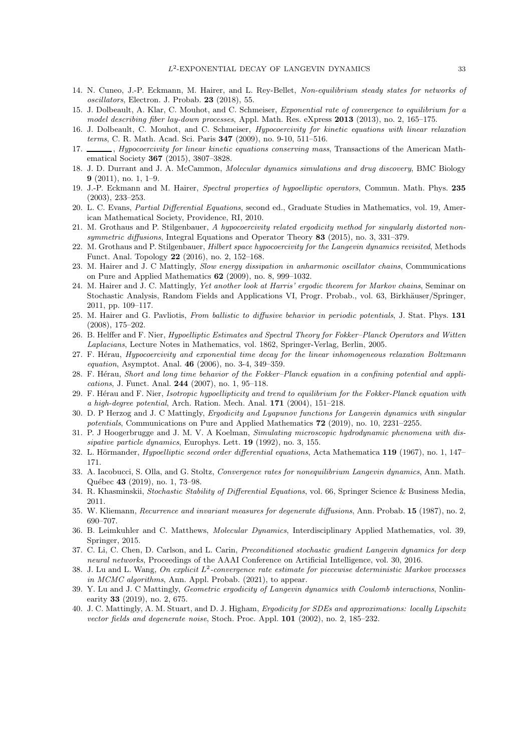- <span id="page-32-24"></span><span id="page-32-20"></span>14. N. Cuneo, J.-P. Eckmann, M. Hairer, and L. Rey-Bellet, Non-equilibrium steady states for networks of oscillators, Electron. J. Probab. 23 (2018), 55.
- <span id="page-32-11"></span>15. J. Dolbeault, A. Klar, C. Mouhot, and C. Schmeiser, Exponential rate of convergence to equilibrium for a model describing fiber lay-down processes, Appl. Math. Res. eXpress 2013 (2013), no. 2, 165–175.
- <span id="page-32-12"></span>16. J. Dolbeault, C. Mouhot, and C. Schmeiser, Hypocoercivity for kinetic equations with linear relaxation terms, C. R. Math. Acad. Sci. Paris 347 (2009), no. 9-10, 511–516.
- 17.  $\_\_\_\$ , Hypocoercivity for linear kinetic equations conserving mass, Transactions of the American Mathematical Society 367 (2015), 3807–3828.
- <span id="page-32-5"></span><span id="page-32-1"></span>18. J. D. Durrant and J. A. McCammon, Molecular dynamics simulations and drug discovery, BMC Biology  $9(2011)$ , no. 1, 1–9.
- <span id="page-32-25"></span>19. J.-P. Eckmann and M. Hairer, Spectral properties of hypoelliptic operators, Commun. Math. Phys. 235 (2003), 233–253.
- <span id="page-32-13"></span>20. L. C. Evans, Partial Differential Equations, second ed., Graduate Studies in Mathematics, vol. 19, American Mathematical Society, Providence, RI, 2010.
- <span id="page-32-21"></span>21. M. Grothaus and P. Stilgenbauer, A hypocoercivity related ergodicity method for singularly distorted nonsymmetric diffusions, Integral Equations and Operator Theory 83 (2015), no. 3, 331–379.
- <span id="page-32-26"></span>22. M. Grothaus and P. Stilgenbauer, Hilbert space hypocoercivity for the Langevin dynamics revisited, Methods Funct. Anal. Topology 22 (2016), no. 2, 152–168.
- 23. M. Hairer and J. C Mattingly, Slow energy dissipation in anharmonic oscillator chains, Communications on Pure and Applied Mathematics 62 (2009), no. 8, 999–1032.
- <span id="page-32-18"></span>24. M. Hairer and J. C. Mattingly, Yet another look at Harris' ergodic theorem for Markov chains, Seminar on Stochastic Analysis, Random Fields and Applications VI, Progr. Probab., vol. 63, Birkhäuser/Springer, 2011, pp. 109–117.
- <span id="page-32-9"></span>25. M. Hairer and G. Pavliotis, From ballistic to diffusive behavior in periodic potentials, J. Stat. Phys. 131 (2008), 175–202.
- <span id="page-32-7"></span>26. B. Helffer and F. Nier, Hypoelliptic Estimates and Spectral Theory for Fokker–Planck Operators and Witten Laplacians, Lecture Notes in Mathematics, vol. 1862, Springer-Verlag, Berlin, 2005.
- <span id="page-32-10"></span>27. F. Herau, Hypocoercivity and exponential time decay for the linear inhomogeneous relaxation Boltzmann equation, Asymptot. Anal. 46 (2006), no. 3-4, 349–359.
- <span id="page-32-8"></span>28. F. Hérau, Short and long time behavior of the Fokker–Planck equation in a confining potential and applications, J. Funct. Anal. 244 (2007), no. 1, 95–118.
- <span id="page-32-6"></span>29. F. Hérau and F. Nier, Isotropic hypoellipticity and trend to equilibrium for the Fokker-Planck equation with a high-degree potential, Arch. Ration. Mech. Anal. 171 (2004), 151–218.
- <span id="page-32-14"></span>30. D. P Herzog and J. C Mattingly, Ergodicity and Lyapunov functions for Langevin dynamics with singular potentials, Communications on Pure and Applied Mathematics 72 (2019), no. 10, 2231–2255.
- <span id="page-32-0"></span>31. P. J Hoogerbrugge and J. M. V. A Koelman, Simulating microscopic hydrodynamic phenomena with dissipative particle dynamics, Europhys. Lett. **19** (1992), no. 3, 155.
- <span id="page-32-23"></span><span id="page-32-22"></span>32. L. Hörmander, *Hypoelliptic second order differential equations*, Acta Mathematica 119 (1967), no. 1, 147– 171.
- 33. A. Iacobucci, S. Olla, and G. Stoltz, Convergence rates for nonequilibrium Langevin dynamics, Ann. Math. Québec 43 (2019), no. 1, 73-98.
- <span id="page-32-17"></span><span id="page-32-16"></span>34. R. Khasminskii, Stochastic Stability of Differential Equations, vol. 66, Springer Science & Business Media, 2011.
- <span id="page-32-2"></span>35. W. Kliemann, Recurrence and invariant measures for degenerate diffusions, Ann. Probab. 15 (1987), no. 2, 690–707.
- 36. B. Leimkuhler and C. Matthews, Molecular Dynamics, Interdisciplinary Applied Mathematics, vol. 39, Springer, 2015.
- <span id="page-32-3"></span>37. C. Li, C. Chen, D. Carlson, and L. Carin, Preconditioned stochastic gradient Langevin dynamics for deep neural networks, Proceedings of the AAAI Conference on Artificial Intelligence, vol. 30, 2016.
- <span id="page-32-19"></span>38. J. Lu and L. Wang, On explicit  $L^2$ -convergence rate estimate for piecewise deterministic Markov processes in MCMC algorithms, Ann. Appl. Probab. (2021), to appear.
- <span id="page-32-15"></span>39. Y. Lu and J. C Mattingly, Geometric ergodicity of Langevin dynamics with Coulomb interactions, Nonlinearity 33 (2019), no. 2, 675.
- <span id="page-32-4"></span>40. J. C. Mattingly, A. M. Stuart, and D. J. Higham, Ergodicity for SDEs and approximations: locally Lipschitz vector fields and degenerate noise, Stoch. Proc. Appl. 101 (2002), no. 2, 185–232.